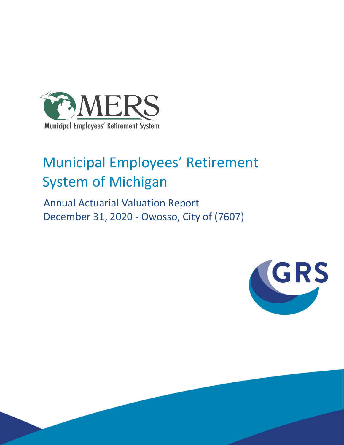

# Municipal Employees' Retirement System of Michigan

 Annual Actuarial Valuation Report December 31, 2020 - Owosso, City of (7607)

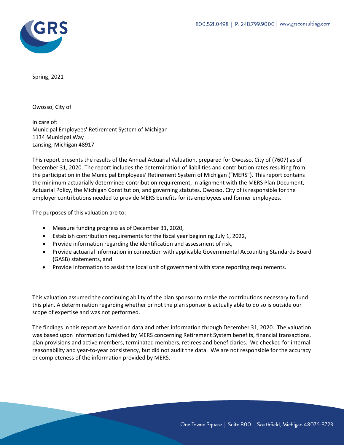

Spring, 2021

Owosso, City of

In care of: Municipal Employees' Retirement System of Michigan 1134 Municipal Way Lansing, Michigan 48917

This report presents the results of the Annual Actuarial Valuation, prepared for Owosso, City of (7607) as of December 31, 2020. The report includes the determination of liabilities and contribution rates resulting from the participation in the Municipal Employees' Retirement System of Michigan ("MERS"). This report contains the minimum actuarially determined contribution requirement, in alignment with the MERS Plan Document, Actuarial Policy, the Michigan Constitution, and governing statutes. Owosso, City of is responsible for the employer contributions needed to provide MERS benefits for its employees and former employees.

The purposes of this valuation are to:

- Measure funding progress as of December 31, 2020,
- Establish contribution requirements for the fiscal year beginning July 1, 2022,
- Provide information regarding the identification and assessment of risk,
- Provide actuarial information in connection with applicable Governmental Accounting Standards Board (GASB) statements, and
- Provide information to assist the local unit of government with state reporting requirements.

This valuation assumed the continuing ability of the plan sponsor to make the contributions necessary to fund this plan. A determination regarding whether or not the plan sponsor is actually able to do so is outside our scope of expertise and was not performed.

The findings in this report are based on data and other information through December 31, 2020. The valuation was based upon information furnished by MERS concerning Retirement System benefits, financial transactions, plan provisions and active members, terminated members, retirees and beneficiaries. We checked for internal reasonability and year-to-year consistency, but did not audit the data. We are not responsible for the accuracy or completeness of the information provided by MERS.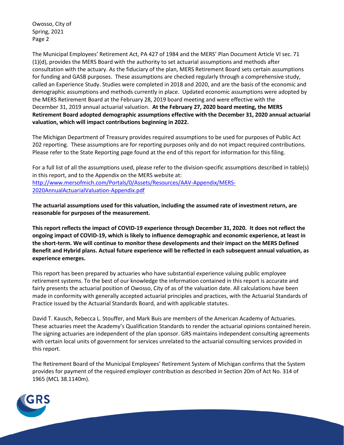Owosso, City of Spring, 2021 Page 2

The Municipal Employees' Retirement Act, PA 427 of 1984 and the MERS' Plan Document Article VI sec. 71 (1)(d), provides the MERS Board with the authority to set actuarial assumptions and methods after consultation with the actuary. As the fiduciary of the plan, MERS Retirement Board sets certain assumptions for funding and GASB purposes. These assumptions are checked regularly through a comprehensive study, called an Experience Study. Studies were completed in 2018 and 2020, and are the basis of the economic and demographic assumptions and methods currently in place. Updated economic assumptions were adopted by the MERS Retirement Board at the February 28, 2019 board meeting and were effective with the December 31, 2019 annual actuarial valuation. **At the February 27, 2020 board meeting, the MERS Retirement Board adopted demographic assumptions effective with the December 31, 2020 annual actuarial valuation, which will impact contributions beginning in 2022.**

The Michigan Department of Treasury provides required assumptions to be used for purposes of Public Act 202 reporting. These assumptions are for reporting purposes only and do not impact required contributions. Please refer to the State Reporting page found at the end of this report for information for this filing.

For a full list of all the assumptions used, please refer to the division-specific assumptions described in table(s) in this report, and to the Appendix on the MERS website at: [http://www.mersofmich.com/Portals/0/Assets/Resources/AAV-Appendix/MERS-](http://www.mersofmich.com/Portals/0/Assets/Resources/AAV-Appendix/MERS-2020AnnualActuarialValuation-Appendix.pdf)[2020AnnualActuarialValuation-Appendix.pdf](http://www.mersofmich.com/Portals/0/Assets/Resources/AAV-Appendix/MERS-2020AnnualActuarialValuation-Appendix.pdf)

**The actuarial assumptions used for this valuation, including the assumed rate of investment return, are reasonable for purposes of the measurement.**

**This report reflects the impact of COVID-19 experience through December 31, 2020. It does not reflect the ongoing impact of COVID-19, which is likely to influence demographic and economic experience, at least in the short-term. We will continue to monitor these developments and their impact on the MERS Defined Benefit and Hybrid plans. Actual future experience will be reflected in each subsequent annual valuation, as experience emerges.**

This report has been prepared by actuaries who have substantial experience valuing public employee retirement systems. To the best of our knowledge the information contained in this report is accurate and fairly presents the actuarial position of Owosso, City of as of the valuation date. All calculations have been made in conformity with generally accepted actuarial principles and practices, with the Actuarial Standards of Practice issued by the Actuarial Standards Board, and with applicable statutes.

David T. Kausch, Rebecca L. Stouffer, and Mark Buis are members of the American Academy of Actuaries. These actuaries meet the Academy's Qualification Standards to render the actuarial opinions contained herein. The signing actuaries are independent of the plan sponsor. GRS maintains independent consulting agreements with certain local units of government for services unrelated to the actuarial consulting services provided in this report.

The Retirement Board of the Municipal Employees' Retirement System of Michigan confirms that the System provides for payment of the required employer contribution as described in Section 20m of Act No. 314 of 1965 (MCL 38.1140m).

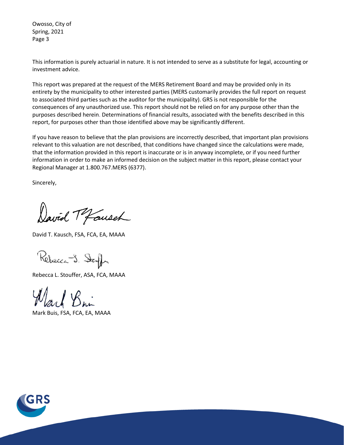Owosso, City of Spring, 2021 Page 3

This information is purely actuarial in nature. It is not intended to serve as a substitute for legal, accounting or investment advice.

This report was prepared at the request of the MERS Retirement Board and may be provided only in its entirety by the municipality to other interested parties (MERS customarily provides the full report on request to associated third parties such as the auditor for the municipality). GRS is not responsible for the consequences of any unauthorized use. This report should not be relied on for any purpose other than the purposes described herein. Determinations of financial results, associated with the benefits described in this report, for purposes other than those identified above may be significantly different.

If you have reason to believe that the plan provisions are incorrectly described, that important plan provisions relevant to this valuation are not described, that conditions have changed since the calculations were made, that the information provided in this report is inaccurate or is in anyway incomplete, or if you need further information in order to make an informed decision on the subject matter in this report, please contact your Regional Manager at 1.800.767.MERS (6377).

Sincerely,

David Tofausch

David T. Kausch, FSA, FCA, EA, MAAA

Rebecca J. Stough

Rebecca L. Stouffer, ASA, FCA, MAAA

Mark Buis, FSA, FCA, EA, MAAA

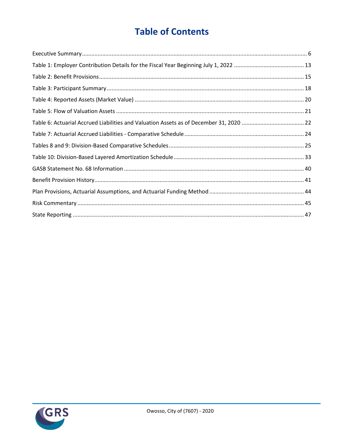# **Table of Contents**

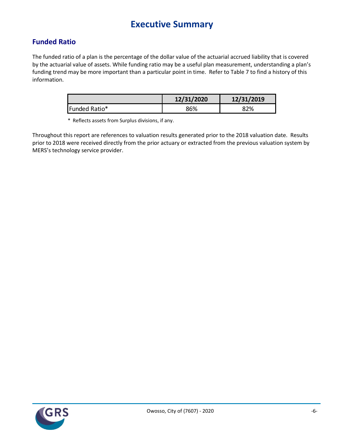# **Executive Summary**

# **Funded Ratio**

The funded ratio of a plan is the percentage of the dollar value of the actuarial accrued liability that is covered by the actuarial value of assets. While funding ratio may be a useful plan measurement, understanding a plan's funding trend may be more important than a particular point in time. Refer to Table 7 to find a history of this information.

|               | 12/31/2020 | 12/31/2019 |
|---------------|------------|------------|
| Funded Ratio* | 86%        | 82%        |

\* Reflects assets from Surplus divisions, if any.

Throughout this report are references to valuation results generated prior to the 2018 valuation date. Results prior to 2018 were received directly from the prior actuary or extracted from the previous valuation system by MERS's technology service provider.

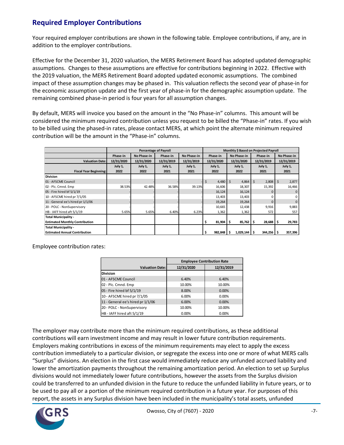# **Required Employer Contributions**

Your required employer contributions are shown in the following table. Employee contributions, if any, are in addition to the employer contributions.

Effective for the December 31, 2020 valuation, the MERS Retirement Board has adopted updated demographic assumptions. Changes to these assumptions are effective for contributions beginning in 2022. Effective with the 2019 valuation, the MERS Retirement Board adopted updated economic assumptions. The combined impact of these assumption changes may be phased in. This valuation reflects the second year of phase-in for the economic assumption update and the first year of phase-in for the demographic assumption update. The remaining combined phase-in period is four years for all assumption changes.

By default, MERS will invoice you based on the amount in the "No Phase-in" columns. This amount will be considered the minimum required contribution unless you request to be billed the "Phase-in" rates. If you wish to be billed using the phased-in rates, please contact MERS, at which point the alternate minimum required contribution will be the amount in the "Phase-in" columns.

|                                       |            | <b>Percentage of Payroll</b> | Monthly \$ Based on Projected Payroll |             |    |             |         |                    |    |              |      |             |  |            |
|---------------------------------------|------------|------------------------------|---------------------------------------|-------------|----|-------------|---------|--------------------|----|--------------|------|-------------|--|------------|
|                                       | Phase-in   | No Phase-in                  | Phase-in                              | No Phase-in |    | Phase-in    |         | No Phase-in        |    | Phase-in     |      | No Phase-in |  |            |
| <b>Valuation Date:</b>                | 12/31/2020 | 12/31/2020                   | 12/31/2019                            | 12/31/2019  |    | 12/31/2020  |         | 12/31/2020         |    |              |      | 12/31/2019  |  | 12/31/2019 |
|                                       | July 1,    | July 1,                      | July 1,                               | July 1,     |    | July 1,     | July 1, |                    |    | July 1,      |      | July 1,     |  |            |
| <b>Fiscal Year Beginning:</b>         | 2022       | 2022                         | 2021                                  | 2021        |    | 2022        |         | 2022<br>2021       |    |              | 2021 |             |  |            |
| <b>Division</b>                       |            |                              |                                       |             |    |             |         |                    |    |              |      |             |  |            |
| 01 - AFSCME Council                   |            |                              |                                       |             | \$ | 4,480       | -Ś      | 4,864              | S. | $2,808$ \$   |      | 2,877       |  |            |
| 02 - Plc. Cmnd. Emp                   | 38.53%     | 42.48%                       | 36.58%                                | 39.13%      |    | 16,606      |         | 18,307             |    | 15,392       |      | 16,466      |  |            |
| 05 - Fire hired bf 5/1/19             |            |                              |                                       |             |    | 16,124      |         | 16,124             |    | $\Omega$     |      | $\Omega$    |  |            |
| 10 - AFSCME hired pr 7/1/05           |            |                              |                                       |             |    | 13,403      |         | 13,403             |    |              |      | $\Omega$    |  |            |
| 11 - General ee's hired pr 1/1/06     |            |                              |                                       |             |    | 19,264      |         | 19,264             |    | $\mathbf{0}$ |      | $\Omega$    |  |            |
| 20 - POLC - NonSupervisory            |            |                              |                                       |             |    | 10,665      |         | 12,438             |    | 9,916        |      | 9,883       |  |            |
| HB - IAFF hired aft 5/1/19            | 5.65%      | 5.65%                        | 6.40%                                 | 6.23%       |    | 1,362       |         | 1,362              |    | 572          |      | 557         |  |            |
| Total Municipality -                  |            |                              |                                       |             |    |             |         |                    |    |              |      |             |  |            |
| <b>Estimated Monthly Contribution</b> |            |                              |                                       |             |    | $81,904$ \$ |         | $85,762$ $\mid$ \$ |    | $28,688$ \$  |      | 29,783      |  |            |
| Total Municipality -                  |            |                              |                                       |             |    |             |         |                    |    |              |      |             |  |            |
| <b>Estimated Annual Contribution</b>  |            |                              |                                       |             |    | 982,848     | -S      | $1,029,144$ \$     |    | 344,256 \$   |      | 357,396     |  |            |

Employee contribution rates:

|                                   | <b>Employee Contribution Rate</b> |            |  |  |  |  |
|-----------------------------------|-----------------------------------|------------|--|--|--|--|
| <b>Valuation Date:</b>            | 12/31/2020                        | 12/31/2019 |  |  |  |  |
| <b>Division</b>                   |                                   |            |  |  |  |  |
| 01 - AFSCME Council               | 6.40%                             | 6.40%      |  |  |  |  |
| 02 - Plc. Cmnd. Emp               | 10.00%                            | 10.00%     |  |  |  |  |
| 05 - Fire hired bf 5/1/19         | 8.00%                             | 0.00%      |  |  |  |  |
| 10 - AFSCME hired pr 7/1/05       | 6.00%                             | 0.00%      |  |  |  |  |
| 11 - General ee's hired pr 1/1/06 | 6.00%                             | 0.00%      |  |  |  |  |
| 20 - POLC - NonSupervisory        | 10.00%                            | 10.00%     |  |  |  |  |
| HB-IAFF hired aft 5/1/19          | 0.00%                             | 0.00%      |  |  |  |  |

The employer may contribute more than the minimum required contributions, as these additional contributions will earn investment income and may result in lower future contribution requirements. Employers making contributions in excess of the minimum requirements may elect to apply the excess contribution immediately to a particular division, or segregate the excess into one or more of what MERS calls "Surplus" divisions. An election in the first case would immediately reduce any unfunded accrued liability and lower the amortization payments throughout the remaining amortization period. An election to set up Surplus divisions would not immediately lower future contributions, however the assets from the Surplus division could be transferred to an unfunded division in the future to reduce the unfunded liability in future years, or to be used to pay all or a portion of the minimum required contribution in a future year. For purposes of this report, the assets in any Surplus division have been included in the municipality's total assets, unfunded

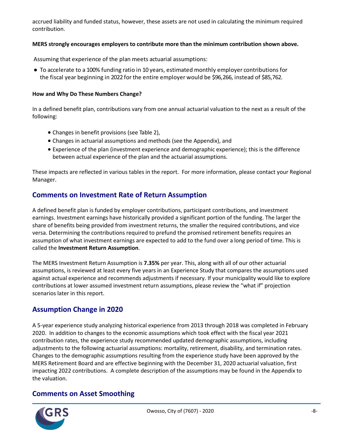accrued liability and funded status, however, these assets are not used in calculating the minimum required contribution.

#### **MERS strongly encourages employers to contribute more than the minimum contribution shown above.**

Assuming that experience of the plan meets actuarial assumptions:

● To accelerate to a 100% funding ratio in 10 years, estimated monthly employer contributions for the fiscal year beginning in 2022 for the entire employer would be \$96,266, instead of \$85,762.

#### **How and Why Do These Numbers Change?**

In a defined benefit plan, contributions vary from one annual actuarial valuation to the next as a result of the following:

- Changes in benefit provisions (see Table 2),
- Changes in actuarial assumptions and methods (see the Appendix), and
- Experience of the plan (investment experience and demographic experience); this is the difference between actual experience of the plan and the actuarial assumptions.

These impacts are reflected in various tables in the report. For more information, please contact your Regional Manager.

# **Comments on Investment Rate of Return Assumption**

A defined benefit plan is funded by employer contributions, participant contributions, and investment earnings. Investment earnings have historically provided a significant portion of the funding. The larger the share of benefits being provided from investment returns, the smaller the required contributions, and vice versa. Determining the contributions required to prefund the promised retirement benefits requires an assumption of what investment earnings are expected to add to the fund over a long period of time. This is called the **Investment Return Assumption**.

The MERS Investment Return Assumption is **7.35%** per year. This, along with all of our other actuarial assumptions, is reviewed at least every five years in an Experience Study that compares the assumptions used against actual experience and recommends adjustments if necessary. If your municipality would like to explore contributions at lower assumed investment return assumptions, please review the "what if" projection scenarios later in this report.

## **Assumption Change in 2020**

A 5-year experience study analyzing historical experience from 2013 through 2018 was completed in February 2020. In addition to changes to the economic assumptions which took effect with the fiscal year 2021 contribution rates, the experience study recommended updated demographic assumptions, including adjustments to the following actuarial assumptions: mortality, retirement, disability, and termination rates. Changes to the demographic assumptions resulting from the experience study have been approved by the MERS Retirement Board and are effective beginning with the December 31, 2020 actuarial valuation, first impacting 2022 contributions. A complete description of the assumptions may be found in the Appendix to the valuation.

## **Comments on Asset Smoothing**

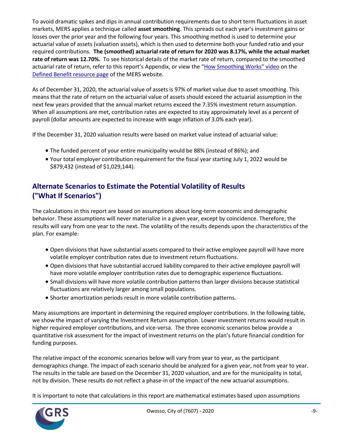To avoid dramatic spikes and dips in annual contribution requirements due to short term fluctuations in asset markets, MERS applies a technique called **asset smoothing**. This spreads out each year's investment gains or losses over the prior year and the following four years. This smoothing method is used to determine your actuarial value of assets (valuation assets), which is then used to determine both your funded ratio and your required contributions. **The (smoothed) actuarial rate of return for 2020 was 8.17%, while the actual market rate of return was 12.70%.** To see historical details of the market rate of return, compared to the smoothed actuarial rate of return, refer to this report's Appendix, or view the ["How Smoothing Works" vi](https://vimeo.com/mersofmich/review/290989403/5707240419)deo on the [Defined Benefit resource page](http://www.mersofmich.com/Employer/Programs/Defined-Benefit-Plan) of the MERS website.

As of December 31, 2020, the actuarial value of assets is 97% of market value due to asset smoothing. This means that the rate of return on the actuarial value of assets should exceed the actuarial assumption in the next few years provided that the annual market returns exceed the 7.35% investment return assumption. When all assumptions are met, contribution rates are expected to stay approximately level as a percent of payroll (dollar amounts are expected to increase with wage inflation of 3.0% each year).

If the December 31, 2020 valuation results were based on market value instead of actuarial value:

- The funded percent of your entire municipality would be 88% (instead of 86%); and
- Your total employer contribution requirement for the fiscal year starting July 1, 2022 would be \$879,432 (instead of \$1,029,144).

# **Alternate Scenarios to Estimate the Potential Volatility of Results ("What If Scenarios")**

The calculations in this report are based on assumptions about long-term economic and demographic behavior. These assumptions will never materialize in a given year, except by coincidence. Therefore, the results will vary from one year to the next. The volatility of the results depends upon the characteristics of the plan. For example:

- Open divisions that have substantial assets compared to their active employee payroll will have more volatile employer contribution rates due to investment return fluctuations.
- Open divisions that have substantial accrued liability compared to their active employee payroll will have more volatile employer contribution rates due to demographic experience fluctuations.
- Small divisions will have more volatile contribution patterns than larger divisions because statistical fluctuations are relatively larger among small populations.
- Shorter amortization periods result in more volatile contribution patterns.

Many assumptions are important in determining the required employer contributions. In the following table, we show the impact of varying the Investment Return assumption. Lower investment returns would result in higher required employer contributions, and vice-versa. The three economic scenarios below provide a quantitative risk assessment for the impact of investment returns on the plan's future financial condition for funding purposes.

The relative impact of the economic scenarios below will vary from year to year, as the participant demographics change. The impact of each scenario should be analyzed for a given year, not from year to year. The results in the table are based on the December 31, 2020 valuation, and are for the municipality in total, not by division. These results do not reflect a phase-in of the impact of the new actuarial assumptions.

It is important to note that calculations in this report are mathematical estimates based upon assumptions

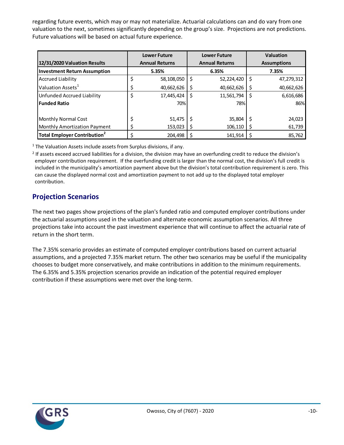regarding future events, which may or may not materialize. Actuarial calculations can and do vary from one valuation to the next, sometimes significantly depending on the group's size. Projections are not predictions. Future valuations will be based on actual future experience.

|                                          | <b>Lower Future</b>   |    | <b>Lower Future</b>   |    | <b>Valuation</b>   |
|------------------------------------------|-----------------------|----|-----------------------|----|--------------------|
| 12/31/2020 Valuation Results             | <b>Annual Returns</b> |    | <b>Annual Returns</b> |    | <b>Assumptions</b> |
| <b>Investment Return Assumption</b>      | 5.35%                 |    | 6.35%                 |    | 7.35%              |
| <b>Accrued Liability</b>                 | \$<br>58,108,050      | \$ | 52,224,420            | \$ | 47,279,312         |
| Valuation Assets <sup>1</sup>            | \$<br>40,662,626      |    | 40,662,626            | \$ | 40,662,626         |
| <b>Unfunded Accrued Liability</b>        | \$<br>17,445,424      | Ś  | 11,561,794            | \$ | 6,616,686          |
| <b>Funded Ratio</b>                      | 70%                   |    | 78%                   |    | 86%                |
|                                          |                       |    |                       |    |                    |
| <b>Monthly Normal Cost</b>               | \$<br>51,475          |    | 35,804                | Ś  | 24,023             |
| <b>Monthly Amortization Payment</b>      | \$<br>153,023         |    | 106,110               | Ş  | 61,739             |
| Total Employer Contribution <sup>2</sup> | \$<br>204.498         |    | 141.914               |    | 85,762             |

 $1$  The Valuation Assets include assets from Surplus divisions, if any.

<sup>2</sup> If assets exceed accrued liabilities for a division, the division may have an overfunding credit to reduce the division's employer contribution requirement. If the overfunding credit is larger than the normal cost, the division's full credit is included in the municipality's amortization payment above but the division's total contribution requirement is zero. This can cause the displayed normal cost and amortization payment to not add up to the displayed total employer contribution.

## **Projection Scenarios**

The next two pages show projections of the plan's funded ratio and computed employer contributions under the actuarial assumptions used in the valuation and alternate economic assumption scenarios. All three projections take into account the past investment experience that will continue to affect the actuarial rate of return in the short term.

The 7.35% scenario provides an estimate of computed employer contributions based on current actuarial assumptions, and a projected 7.35% market return. The other two scenarios may be useful if the municipality chooses to budget more conservatively, and make contributions in addition to the minimum requirements. The 6.35% and 5.35% projection scenarios provide an indication of the potential required employer contribution if these assumptions were met over the long-term.

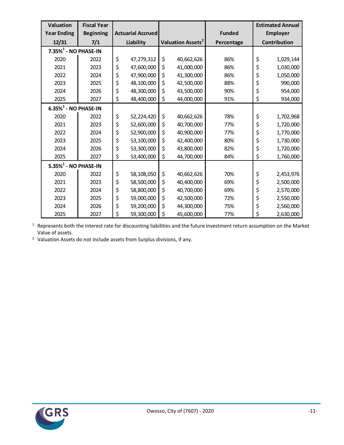| <b>Valuation</b>                    | <b>Fiscal Year</b> |                          |                               |               | <b>Estimated Annual</b> |
|-------------------------------------|--------------------|--------------------------|-------------------------------|---------------|-------------------------|
| <b>Year Ending</b>                  | <b>Beginning</b>   | <b>Actuarial Accrued</b> |                               | <b>Funded</b> | <b>Employer</b>         |
| 12/31                               | 7/1                | Liability                | Valuation Assets <sup>2</sup> | Percentage    | Contribution            |
| $7.35\%$ <sup>1</sup> - NO PHASE-IN |                    |                          |                               |               |                         |
| 2020                                | 2022               | \$<br>47,279,312         | \$<br>40,662,626              | 86%           | \$<br>1,029,144         |
| 2021                                | 2023               | \$<br>47,600,000         | \$<br>41,000,000              | 86%           | \$<br>1,030,000         |
| 2022                                | 2024               | \$<br>47,900,000         | \$<br>41,300,000              | 86%           | \$<br>1,050,000         |
| 2023                                | 2025               | \$<br>48,100,000         | \$<br>42,500,000              | 88%           | \$<br>990,000           |
| 2024                                | 2026               | \$<br>48,300,000         | \$<br>43,500,000              | 90%           | \$<br>954,000           |
| 2025                                | 2027               | \$<br>48,400,000         | \$<br>44,000,000              | 91%           | \$<br>934,000           |
| $6.35\%$ <sup>1</sup> - NO PHASE-IN |                    |                          |                               |               |                         |
| 2020                                | 2022               | \$<br>52,224,420         | \$<br>40,662,626              | 78%           | \$<br>1,702,968         |
| 2021                                | 2023               | \$<br>52,600,000         | \$<br>40,700,000              | 77%           | \$<br>1,720,000         |
| 2022                                | 2024               | \$<br>52,900,000         | \$<br>40,900,000              | 77%           | \$<br>1,770,000         |
| 2023                                | 2025               | \$<br>53,100,000         | \$<br>42,400,000              | 80%           | \$<br>1,730,000         |
| 2024                                | 2026               | \$<br>53,300,000         | \$<br>43,800,000              | 82%           | \$<br>1,720,000         |
| 2025                                | 2027               | \$<br>53,400,000         | \$<br>44,700,000              | 84%           | \$<br>1,760,000         |
| $5.35\%$ <sup>1</sup> - NO PHASE-IN |                    |                          |                               |               |                         |
| 2020                                | 2022               | \$<br>58,108,050         | \$<br>40,662,626              | 70%           | \$<br>2,453,976         |
| 2021                                | 2023               | \$<br>58,500,000         | \$<br>40,400,000              | 69%           | \$<br>2,500,000         |
| 2022                                | 2024               | \$<br>58,800,000         | \$<br>40,700,000              | 69%           | \$<br>2,570,000         |
| 2023                                | 2025               | \$<br>59,000,000         | \$<br>42,500,000              | 72%           | \$<br>2,550,000         |
| 2024                                | 2026               | \$<br>59,200,000         | \$<br>44,300,000              | 75%           | \$<br>2,560,000         |
| 2025                                | 2027               | \$<br>59,300,000         | \$<br>45,600,000              | 77%           | \$<br>2,630,000         |

 Represents both the interest rate for discounting liabilities and the future investment return assumption on the Market Value of assets.

Valuation Assets do not include assets from Surplus divisions, if any.

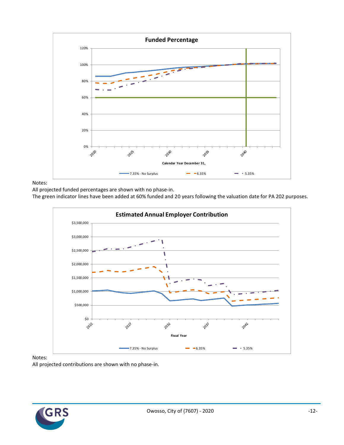

Notes:

All projected funded percentages are shown with no phase-in.

The green indicator lines have been added at 60% funded and 20 years following the valuation date for PA 202 purposes.



Notes:

All projected contributions are shown with no phase-in.

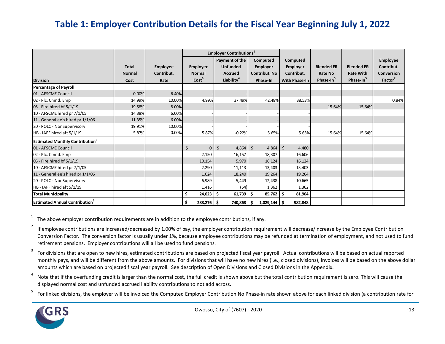# **Table 1: Employer Contribution Details for the Fiscal Year Beginning July 1, 2022**

|                                                    |               |            |                    | <b>Employer Contributions</b> <sup>1</sup> |                      |                      |                       |                       |                     |
|----------------------------------------------------|---------------|------------|--------------------|--------------------------------------------|----------------------|----------------------|-----------------------|-----------------------|---------------------|
|                                                    |               |            |                    | Payment of the                             | Computed             | Computed             |                       |                       | Employee            |
|                                                    | <b>Total</b>  | Employee   | <b>Employer</b>    | <b>Unfunded</b>                            | <b>Employer</b>      | Employer             | <b>Blended ER</b>     | <b>Blended ER</b>     | Contribut.          |
|                                                    | <b>Normal</b> | Contribut. | <b>Normal</b>      | <b>Accrued</b>                             | <b>Contribut, No</b> | Contribut.           | <b>Rate No</b>        | <b>Rate With</b>      | Conversion          |
| <b>Division</b>                                    | Cost          | Rate       | Cost <sup>6</sup>  | Liability <sup>4</sup>                     | Phase-In             | <b>With Phase-In</b> | Phase-In <sup>5</sup> | Phase-In <sup>5</sup> | Factor <sup>2</sup> |
| <b>Percentage of Payroll</b>                       |               |            |                    |                                            |                      |                      |                       |                       |                     |
| 01 - AFSCME Council                                | 0.00%         | 6.40%      |                    |                                            |                      |                      |                       |                       |                     |
| 02 - Plc. Cmnd. Emp                                | 14.99%        | 10.00%     | 4.99%              | 37.49%                                     | 42.48%               | 38.53%               |                       |                       | 0.84%               |
| 05 - Fire hired bf 5/1/19                          | 19.58%        | 8.00%      |                    |                                            |                      |                      | 15.64%                | 15.64%                |                     |
| 10 - AFSCME hired pr 7/1/05                        | 14.38%        | 6.00%      |                    |                                            |                      |                      |                       |                       |                     |
| 11 - General ee's hired pr 1/1/06                  | 11.35%        | 6.00%      |                    |                                            |                      |                      |                       |                       |                     |
| 20 - POLC - NonSupervisory                         | 19.91%        | 10.00%     |                    |                                            |                      |                      |                       |                       |                     |
| HB-IAFF hired aft 5/1/19                           | 5.87%         | 0.00%      | 5.87%              | $-0.22%$                                   | 5.65%                | 5.65%                | 15.64%                | 15.64%                |                     |
| <b>Estimated Monthly Contribution</b> <sup>3</sup> |               |            |                    |                                            |                      |                      |                       |                       |                     |
| 01 - AFSCME Council                                |               |            | \$<br>$\mathbf{0}$ | $\zeta$<br>4,864                           | \$<br>$4,864$ \$     | 4,480                |                       |                       |                     |
| 02 - Plc. Cmnd. Emp                                |               |            | 2,150              | 16,157                                     | 18,307               | 16,606               |                       |                       |                     |
| 05 - Fire hired bf 5/1/19                          |               |            | 10,154             | 5,970                                      | 16,124               | 16,124               |                       |                       |                     |
| 10 - AFSCME hired pr 7/1/05                        |               |            | 2,290              | 11,113                                     | 13,403               | 13,403               |                       |                       |                     |
| 11 - General ee's hired pr 1/1/06                  |               |            | 1,024              | 18,240                                     | 19,264               | 19,264               |                       |                       |                     |
| 20 - POLC - NonSupervisory                         |               |            | 6,989              | 5,449                                      | 12,438               | 10,665               |                       |                       |                     |
| HB - IAFF hired aft 5/1/19                         |               |            | 1,416              | (54)                                       | 1,362                | 1,362                |                       |                       |                     |
| <b>Total Municipality</b>                          |               |            | \$<br>$24,023$ \$  | 61,739                                     | $85,762$ \$<br>S     | 81,904               |                       |                       |                     |
| <b>Estimated Annual Contribution<sup>3</sup></b>   |               |            | \$<br>$288,276$ \$ | 740,868                                    | $1,029,144$ \$       | 982,848              |                       |                       |                     |

1 The above employer contribution requirements are in addition to the employee contributions, if any.

2 If employee contributions are increased/decreased by 1.00% of pay, the employer contribution requirement will decrease/increase by the Employee Contribution Conversion Factor. The conversion factor is usually under 1%, because employee contributions may be refunded at termination of employment, and not used to fund retirement pensions. Employer contributions will all be used to fund pensions.

3 For divisions that are open to new hires, estimated contributions are based on projected fiscal year payroll. Actual contributions will be based on actual reported monthly pays, and will be different from the above amounts. For divisions that will have no new hires (i.e., closed divisions), invoices will be based on the above dollar amounts which are based on projected fiscal year payroll. See description of Open Divisions and Closed Divisions in the Appendix.

4 Note that if the overfunding credit is larger than the normal cost, the full credit is shown above but the total contribution requirement is zero. This will cause the displayed normal cost and unfunded accrued liability contributions to not add across.

5 For linked divisions, the employer will be invoiced the Computed Employer Contribution No Phase-in rate shown above for each linked division (a contribution rate for

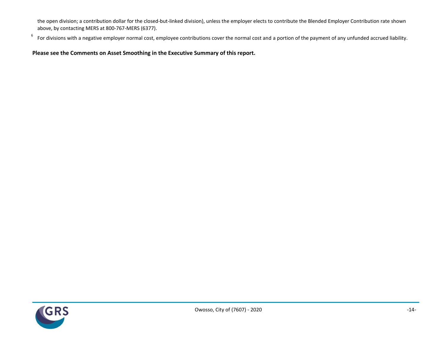the open division; a contribution dollar for the closed-but-linked division), unless the employer elects to contribute the Blended Employer Contribution rate shown above, by contacting MERS at 800-767-MERS (6377).

6 For divisions with a negative employer normal cost, employee contributions cover the normal cost and a portion of the payment of any unfunded accrued liability.

### **Please see the Comments on Asset Smoothing in the Executive Summary of this report.**

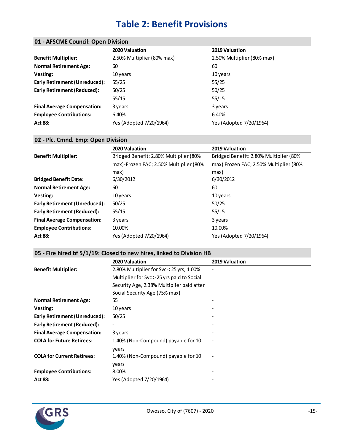# **Table 2: Benefit Provisions**

### **01 - AFSCME Council: Open Division**

|                                      | 2020 Valuation             | 2019 Valuation             |
|--------------------------------------|----------------------------|----------------------------|
| <b>Benefit Multiplier:</b>           | 2.50% Multiplier (80% max) | 2.50% Multiplier (80% max) |
| <b>Normal Retirement Age:</b>        | 60                         | 60                         |
| Vesting:                             | 10 years                   | 10 years                   |
| <b>Early Retirement (Unreduced):</b> | 55/25                      | 55/25                      |
| <b>Early Retirement (Reduced):</b>   | 50/25                      | 50/25                      |
|                                      | 55/15                      | 55/15                      |
| <b>Final Average Compensation:</b>   | 3 years                    | 3 years                    |
| <b>Employee Contributions:</b>       | 6.40%                      | 6.40%                      |
| <b>Act 88:</b>                       | Yes (Adopted 7/20/1964)    | Yes (Adopted 7/20/1964)    |

### **02 - Plc. Cmnd. Emp: Open Division**

|                                      | 2020 Valuation                         | 2019 Valuation                         |
|--------------------------------------|----------------------------------------|----------------------------------------|
| <b>Benefit Multiplier:</b>           | Bridged Benefit: 2.80% Multiplier (80% | Bridged Benefit: 2.80% Multiplier (80% |
|                                      | max)-Frozen FAC; 2.50% Multiplier (80% | max) Frozen FAC; 2.50% Multiplier (80% |
|                                      | max)                                   | max)                                   |
| <b>Bridged Benefit Date:</b>         | 6/30/2012                              | 6/30/2012                              |
| <b>Normal Retirement Age:</b>        | 60                                     | 60                                     |
| Vesting:                             | 10 years                               | 10 years                               |
| <b>Early Retirement (Unreduced):</b> | 50/25                                  | 50/25                                  |
| Early Retirement (Reduced):          | 55/15                                  | 55/15                                  |
| <b>Final Average Compensation:</b>   | 3 years                                | 3 years                                |
| <b>Employee Contributions:</b>       | 10.00%                                 | 10.00%                                 |
| <b>Act 88:</b>                       | Yes (Adopted 7/20/1964)                | Yes (Adopted 7/20/1964)                |

#### **05 - Fire hired bf 5/1/19: Closed to new hires, linked to Division HB**

|                                      | <b>2020 Valuation</b>                      | 2019 Valuation |
|--------------------------------------|--------------------------------------------|----------------|
| <b>Benefit Multiplier:</b>           | 2.80% Multiplier for Svc < 25 yrs, 1.00%   |                |
|                                      | Multiplier for Svc > 25 yrs paid to Social |                |
|                                      | Security Age, 2.38% Multiplier paid after  |                |
|                                      | Social Security Age (75% max)              |                |
| <b>Normal Retirement Age:</b>        | 55                                         |                |
| Vesting:                             | 10 years                                   |                |
| <b>Early Retirement (Unreduced):</b> | 50/25                                      |                |
| Early Retirement (Reduced):          |                                            |                |
| <b>Final Average Compensation:</b>   | 3 years                                    |                |
| <b>COLA for Future Retirees:</b>     | 1.40% (Non-Compound) payable for 10        |                |
|                                      | years                                      |                |
| <b>COLA for Current Retirees:</b>    | 1.40% (Non-Compound) payable for 10        |                |
|                                      | years                                      |                |
| <b>Employee Contributions:</b>       | 8.00%                                      |                |
| <b>Act 88:</b>                       | Yes (Adopted 7/20/1964)                    |                |

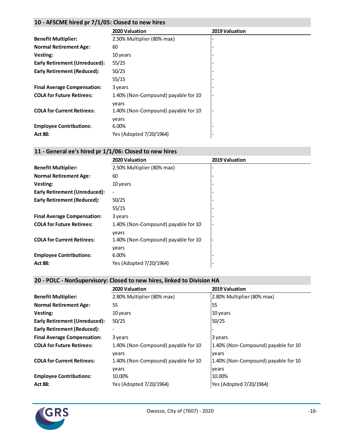#### **10 - AFSCME hired pr 7/1/05: Closed to new hires**

|                                      | 2020 Valuation                      | 2019 Valuation |
|--------------------------------------|-------------------------------------|----------------|
| <b>Benefit Multiplier:</b>           | 2.50% Multiplier (80% max)          |                |
| <b>Normal Retirement Age:</b>        | 60                                  |                |
| Vesting:                             | 10 years                            |                |
| <b>Early Retirement (Unreduced):</b> | 55/25                               |                |
| <b>Early Retirement (Reduced):</b>   | 50/25                               |                |
|                                      | 55/15                               |                |
| <b>Final Average Compensation:</b>   | 3 years                             |                |
| <b>COLA for Future Retirees:</b>     | 1.40% (Non-Compound) payable for 10 |                |
|                                      | vears                               |                |
| <b>COLA for Current Retirees:</b>    | 1.40% (Non-Compound) payable for 10 |                |
|                                      | years                               |                |
| <b>Employee Contributions:</b>       | 6.00%                               |                |
| <b>Act 88:</b>                       | Yes (Adopted 7/20/1964)             |                |

### **11 - General ee's hired pr 1/1/06: Closed to new hires**

|                                      | 2020 Valuation                      | 2019 Valuation |
|--------------------------------------|-------------------------------------|----------------|
| <b>Benefit Multiplier:</b>           | 2.50% Multiplier (80% max)          |                |
| <b>Normal Retirement Age:</b>        | 60                                  |                |
| Vesting:                             | 10 years                            |                |
| <b>Early Retirement (Unreduced):</b> | $\blacksquare$                      |                |
| <b>Early Retirement (Reduced):</b>   | 50/25                               |                |
|                                      | 55/15                               |                |
| <b>Final Average Compensation:</b>   | 3 years                             |                |
| <b>COLA for Future Retirees:</b>     | 1.40% (Non-Compound) payable for 10 |                |
|                                      | years                               |                |
| <b>COLA for Current Retirees:</b>    | 1.40% (Non-Compound) payable for 10 |                |
|                                      | vears                               |                |
| <b>Employee Contributions:</b>       | 6.00%                               |                |
| <b>Act 88:</b>                       | Yes (Adopted 7/20/1964)             |                |

### **20 - POLC - NonSupervisory: Closed to new hires, linked to Division HA**

|                                      | 2020 Valuation                      | 2019 Valuation                      |
|--------------------------------------|-------------------------------------|-------------------------------------|
| <b>Benefit Multiplier:</b>           | 2.80% Multiplier (80% max)          | 2.80% Multiplier (80% max)          |
| <b>Normal Retirement Age:</b>        | 55                                  | 55                                  |
| Vesting:                             | 10 years                            | 10 years                            |
| <b>Early Retirement (Unreduced):</b> | 50/25                               | 50/25                               |
| Early Retirement (Reduced):          |                                     |                                     |
| <b>Final Average Compensation:</b>   | 3 years                             | 3 years                             |
| <b>COLA for Future Retirees:</b>     | 1.40% (Non-Compound) payable for 10 | 1.40% (Non-Compound) payable for 10 |
|                                      | vears                               | vears                               |
| <b>COLA for Current Retirees:</b>    | 1.40% (Non-Compound) payable for 10 | 1.40% (Non-Compound) payable for 10 |
|                                      | years                               | vears                               |
| <b>Employee Contributions:</b>       | 10.00%                              | 10.00%                              |
| <b>Act 88:</b>                       | Yes (Adopted 7/20/1964)             | Yes (Adopted 7/20/1964)             |

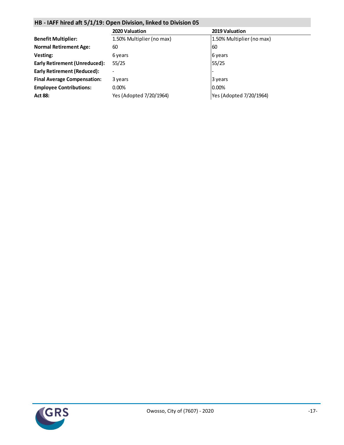### **HB - IAFF hired aft 5/1/19: Open Division, linked to Division 05**

|                                      | 2020 Valuation            | 2019 Valuation            |
|--------------------------------------|---------------------------|---------------------------|
| <b>Benefit Multiplier:</b>           | 1.50% Multiplier (no max) | 1.50% Multiplier (no max) |
| <b>Normal Retirement Age:</b>        | 60                        | 60                        |
| Vesting:                             | 6 years                   | 6 years                   |
| <b>Early Retirement (Unreduced):</b> | 55/25                     | 55/25                     |
| Early Retirement (Reduced):          |                           |                           |
| <b>Final Average Compensation:</b>   | 3 years                   | 3 years                   |
| <b>Employee Contributions:</b>       | $0.00\%$                  | 0.00%                     |
| <b>Act 88:</b>                       | Yes (Adopted 7/20/1964)   | Yes (Adopted 7/20/1964)   |

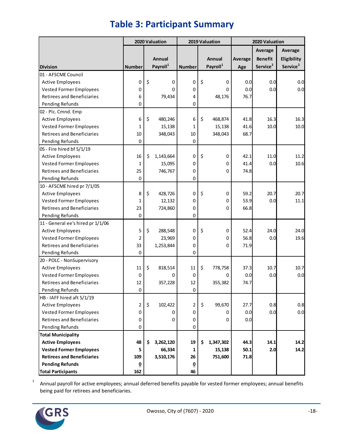|                                   |                         |    | 2020 Valuation       |                         | 2019 Valuation       | 2020 Valuation |                      |                      |
|-----------------------------------|-------------------------|----|----------------------|-------------------------|----------------------|----------------|----------------------|----------------------|
|                                   |                         |    |                      |                         |                      |                | <b>Average</b>       | Average              |
|                                   |                         |    | Annual               |                         | Annual               | Average        | <b>Benefit</b>       | Eligibility          |
| <b>Division</b>                   | <b>Number</b>           |    | Payroll <sup>1</sup> | <b>Number</b>           | Payroll <sup>1</sup> | Age            | Service <sup>2</sup> | Service <sup>2</sup> |
| 01 - AFSCME Council               |                         |    |                      |                         |                      |                |                      |                      |
| <b>Active Employees</b>           | 0                       | \$ | 0                    | 0                       | \$<br>0              | 0.0            | 0.0                  | 0.0                  |
| <b>Vested Former Employees</b>    | 0                       |    | 0                    | 0                       | 0                    | 0.0            | 0.0                  | 0.0                  |
| Retirees and Beneficiaries        | 6                       |    | 79,434               | 4                       | 48,176               | 76.7           |                      |                      |
| Pending Refunds                   | 0                       |    |                      | 0                       |                      |                |                      |                      |
| 02 - Plc. Cmnd. Emp               |                         |    |                      |                         |                      |                |                      |                      |
| <b>Active Employees</b>           | 6                       | \$ | 480,246              | 6                       | \$<br>468,874        | 41.8           | 16.3                 | 16.3                 |
| <b>Vested Former Employees</b>    | 1                       |    | 15,138               | 1                       | 15,138               | 41.6           | 10.0                 | 10.0                 |
| <b>Retirees and Beneficiaries</b> | 10                      |    | 348,043              | 10                      | 348,043              | 68.7           |                      |                      |
| Pending Refunds                   | 0                       |    |                      | 0                       |                      |                |                      |                      |
| 05 - Fire hired bf 5/1/19         |                         |    |                      |                         |                      |                |                      |                      |
| <b>Active Employees</b>           | 16                      | \$ | 1,143,664            | 0                       | \$<br>0              | 42.1           | 11.0                 | 11.2                 |
| <b>Vested Former Employees</b>    | 1                       |    | 15,095               | 0                       | 0                    | 41.4           | 0.0                  | 10.6                 |
| <b>Retirees and Beneficiaries</b> | 25                      |    | 746,767              | 0                       | 0                    | 74.8           |                      |                      |
| <b>Pending Refunds</b>            | 0                       |    |                      | 0                       |                      |                |                      |                      |
| 10 - AFSCME hired pr 7/1/05       |                         |    |                      |                         |                      |                |                      |                      |
| <b>Active Employees</b>           | 8                       | \$ | 428,726              | 0                       | \$<br>0              | 59.2           | 20.7                 | 20.7                 |
| <b>Vested Former Employees</b>    | 1                       |    | 12,132               | 0                       | 0                    | 53.9           | 0.0                  | 11.1                 |
| <b>Retirees and Beneficiaries</b> | 23                      |    | 724,860              | 0                       | 0                    | 66.8           |                      |                      |
| Pending Refunds                   | 0                       |    |                      | 0                       |                      |                |                      |                      |
| 11 - General ee's hired pr 1/1/06 |                         |    |                      |                         |                      |                |                      |                      |
| <b>Active Employees</b>           | 5                       | \$ | 288,548              | 0                       | \$<br>0              | 52.4           | 24.0                 | 24.0                 |
| <b>Vested Former Employees</b>    | 2                       |    | 23,969               | 0                       | 0                    | 56.8           | 0.0                  | 19.6                 |
| <b>Retirees and Beneficiaries</b> | 33                      |    | 1,253,844            | 0                       | 0                    | 71.9           |                      |                      |
| Pending Refunds                   | 0                       |    |                      | 0                       |                      |                |                      |                      |
| 20 - POLC - NonSupervisory        |                         |    |                      |                         |                      |                |                      |                      |
| <b>Active Employees</b>           | $11\,$                  | \$ | 818,514              | 11                      | \$<br>778,758        | 37.3           | 10.7                 | 10.7                 |
| <b>Vested Former Employees</b>    | 0                       |    | 0                    | 0                       | 0                    | 0.0            | 0.0                  | 0.0                  |
| <b>Retirees and Beneficiaries</b> | 12                      |    | 357,228              | 12                      | 355,382              | 74.7           |                      |                      |
| Pending Refunds                   | $\pmb{0}$               |    |                      | $\mathbf 0$             |                      |                |                      |                      |
| HB - IAFF hired aft 5/1/19        |                         |    |                      |                         |                      |                |                      |                      |
| <b>Active Employees</b>           | 2                       | \$ | 102,422              | 2                       | \$<br>99,670         | 27.7           | 0.8                  | 0.8                  |
| <b>Vested Former Employees</b>    | 0                       |    | 0                    | 0                       | 0                    | 0.0            | 0.0                  | 0.0                  |
| <b>Retirees and Beneficiaries</b> | 0                       |    | 0                    | 0                       | 0                    | 0.0            |                      |                      |
| Pending Refunds                   | 0                       |    |                      | 0                       |                      |                |                      |                      |
| <b>Total Municipality</b>         |                         |    |                      |                         |                      |                |                      |                      |
| <b>Active Employees</b>           | 48                      | S  | 3,262,120            | 19                      | \$<br>1,347,302      | 44.3           | 14.1                 | 14.2                 |
| <b>Vested Former Employees</b>    | 5                       |    | 66,334               | 1                       | 15,138               | 50.1           | 2.0                  | 14.2                 |
| <b>Retirees and Beneficiaries</b> | 109                     |    | 3,510,176            | 26                      | 751,600              | 71.8           |                      |                      |
| <b>Pending Refunds</b>            | $\overline{\mathbf{0}}$ |    |                      | $\overline{\mathbf{0}}$ |                      |                |                      |                      |
| <b>Total Participants</b>         | 162                     |    |                      | 46                      |                      |                |                      |                      |

# **Table 3: Participant Summary**

1 Annual payroll for active employees; annual deferred benefits payable for vested former employees; annual benefits being paid for retirees and beneficiaries.

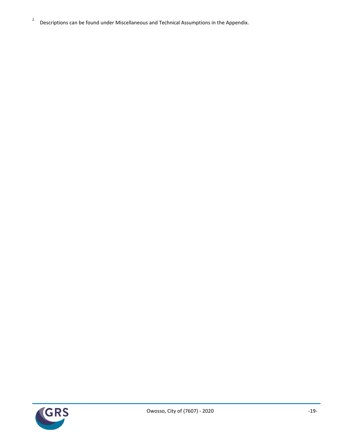2 Descriptions can be found under Miscellaneous and Technical Assumptions in the Appendix.

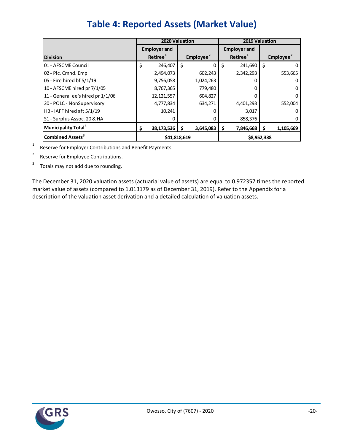|                                   |                                             | 2020 Valuation        |                                             | 2019 Valuation        |
|-----------------------------------|---------------------------------------------|-----------------------|---------------------------------------------|-----------------------|
| <b>Division</b>                   | <b>Employer and</b><br>Retiree <sup>1</sup> | Employee <sup>2</sup> | <b>Employer and</b><br>Retiree <sup>1</sup> | Employee <sup>2</sup> |
|                                   |                                             |                       |                                             |                       |
| 01 - AFSCME Council               | \$<br>246,407                               | Ś<br>0                | \$<br>241,690                               | \$                    |
| 02 - Plc. Cmnd. Emp               | 2,494,073                                   | 602,243               | 2,342,293                                   | 553,665               |
| 05 - Fire hired bf 5/1/19         | 9,756,058                                   | 1,024,263             |                                             |                       |
| 10 - AFSCME hired pr 7/1/05       | 8,767,365                                   | 779,480               | 0                                           | 0                     |
| 11 - General ee's hired pr 1/1/06 | 12, 121, 557                                | 604,827               |                                             | 0                     |
| 20 - POLC - NonSupervisory        | 4,777,834                                   | 634,271               | 4,401,293                                   | 552,004               |
| HB - IAFF hired aft 5/1/19        | 10,241                                      |                       | 3,017                                       |                       |
| S1 - Surplus Assoc. 20 & HA       | 0                                           | 0                     | 858,376                                     |                       |
| Municipality Total <sup>3</sup>   | \$<br>38,173,536                            | S<br>3,645,083        | 7,846,668<br>Ş                              | Ŝ<br>1,105,669        |
| Combined Assets <sup>3</sup>      | \$41,818,619                                |                       |                                             | \$8,952,338           |

# **Table 4: Reported Assets (Market Value)**

1 Reserve for Employer Contributions and Benefit Payments.

2 Reserve for Employee Contributions.

3 Totals may not add due to rounding.

The December 31, 2020 valuation assets (actuarial value of assets) are equal to 0.972357 times the reported market value of assets (compared to 1.013179 as of December 31, 2019). Refer to the Appendix for a description of the valuation asset derivation and a detailed calculation of valuation assets.

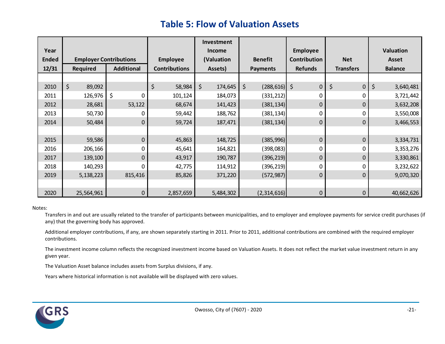# **Table 5: Flow of Valuation Assets**

|              |                               |                   |                      | Investment         |                  |                 |                  |                  |
|--------------|-------------------------------|-------------------|----------------------|--------------------|------------------|-----------------|------------------|------------------|
| Year         |                               |                   |                      | <b>Income</b>      |                  | <b>Employee</b> |                  | <b>Valuation</b> |
| <b>Ended</b> | <b>Employer Contributions</b> |                   | <b>Employee</b>      | (Valuation         | <b>Benefit</b>   | Contribution    | <b>Net</b>       | <b>Asset</b>     |
| 12/31        | <b>Required</b>               | <b>Additional</b> | <b>Contributions</b> | Assets)            | <b>Payments</b>  | <b>Refunds</b>  | <b>Transfers</b> | <b>Balance</b>   |
|              |                               |                   |                      |                    |                  |                 |                  |                  |
| 2010         | \$<br>89,092                  |                   | \$<br>58,984         | $\zeta$<br>174,645 | \$<br>(288, 616) | $\zeta$<br>0    | \$<br>$\pmb{0}$  | \$<br>3,640,481  |
| 2011         | 126,976                       | \$<br>0           | 101,124              | 184,073            | (331, 212)       | 0               | 0                | 3,721,442        |
| 2012         | 28,681                        | 53,122            | 68,674               | 141,423            | (381, 134)       | 0               | 0                | 3,632,208        |
| 2013         | 50,730                        | 0                 | 59,442               | 188,762            | (381,134)        | 0               | 0                | 3,550,008        |
| 2014         | 50,484                        | $\pmb{0}$         | 59,724               | 187,471            | (381, 134)       | 0               | $\pmb{0}$        | 3,466,553        |
|              |                               |                   |                      |                    |                  |                 |                  |                  |
| 2015         | 59,586                        | $\mathbf 0$       | 45,863               | 148,725            | (385, 996)       | 0               | $\mathbf 0$      | 3,334,731        |
| 2016         | 206,166                       | 0                 | 45,641               | 164,821            | (398,083)        | 0               | 0                | 3,353,276        |
| 2017         | 139,100                       | 0                 | 43,917               | 190,787            | (396, 219)       | 0               | $\mathbf 0$      | 3,330,861        |
| 2018         | 140,293                       | 0                 | 42,775               | 114,912            | (396,219)        | 0               | 0                | 3,232,622        |
| 2019         | 5,138,223                     | 815,416           | 85,826               | 371,220            | (572, 987)       | 0               | $\mathbf 0$      | 9,070,320        |
|              |                               |                   |                      |                    |                  |                 |                  |                  |
| 2020         | 25,564,961                    | $\pmb{0}$         | 2,857,659            | 5,484,302          | (2,314,616)      | 0               | $\pmb{0}$        | 40,662,626       |

#### Notes:

Transfers in and out are usually related to the transfer of participants between municipalities, and to employer and employee payments for service credit purchases (if any) that the governing body has approved.

Additional employer contributions, if any, are shown separately starting in 2011. Prior to 2011, additional contributions are combined with the required employer contributions.

The investment income column reflects the recognized investment income based on Valuation Assets. It does not reflect the market value investment return in any given year.

The Valuation Asset balance includes assets from Surplus divisions, if any.

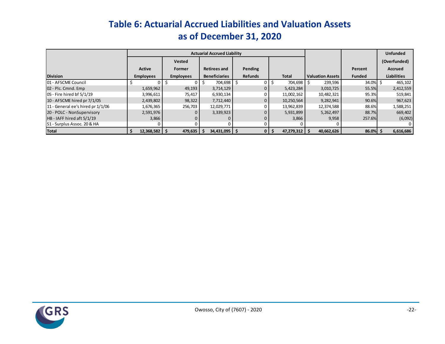# **Table 6: Actuarial Accrued Liabilities and Valuation Assets as of December 31, 2020**

|                                   |                  | <b>Actuarial Accrued Liability</b> |                      |                |                 |                         |               | <b>Unfunded</b>    |
|-----------------------------------|------------------|------------------------------------|----------------------|----------------|-----------------|-------------------------|---------------|--------------------|
|                                   |                  | <b>Vested</b>                      |                      |                |                 |                         |               | (Overfunded)       |
|                                   | <b>Active</b>    | Former                             | <b>Retirees and</b>  | Pending        |                 |                         | Percent       | <b>Accrued</b>     |
| <b>Division</b>                   | <b>Employees</b> | <b>Employees</b>                   | <b>Beneficiaries</b> | <b>Refunds</b> | <b>Total</b>    | <b>Valuation Assets</b> | <b>Funded</b> | <b>Liabilities</b> |
| 01 - AFSCME Council               |                  |                                    | 704,698              |                | 704,698         | 239,596                 | 34.0%         | 465,102            |
| 02 - Plc. Cmnd. Emp               | 1,659,962        | 49,193                             | 3,714,129            |                | 5,423,284       | 3,010,725               | 55.5%         | 2,412,559          |
| 05 - Fire hired bf 5/1/19         | 3,996,611        | 75,417                             | 6,930,134            |                | 11,002,162      | 10,482,321              | 95.3%         | 519,841            |
| 10 - AFSCME hired pr 7/1/05       | 2,439,802        | 98,322                             | 7,712,440            |                | 10,250,564      | 9,282,941               | 90.6%         | 967,623            |
| 11 - General ee's hired pr 1/1/06 | 1,676,365        | 256,703                            | 12,029,771           |                | 13,962,839      | 12,374,588              | 88.6%         | 1,588,251          |
| 20 - POLC - NonSupervisory        | 2,591,976        |                                    | 3,339,923            |                | 5,931,899       | 5,262,497               | 88.7%         | 669,402            |
| HB - IAFF hired aft 5/1/19        | 3,866            |                                    |                      |                | 3,866           | 9,958                   | 257.6%        | (6,092)            |
| S1 - Surplus Assoc. 20 & HA       |                  |                                    |                      |                |                 |                         |               |                    |
| <b>Total</b>                      | 12,368,582 \$    | 479,635                            | 34,431,095 \$        |                | $47,279,312$ \$ | 40,662,626              | 86.0%         | 6,616,686          |

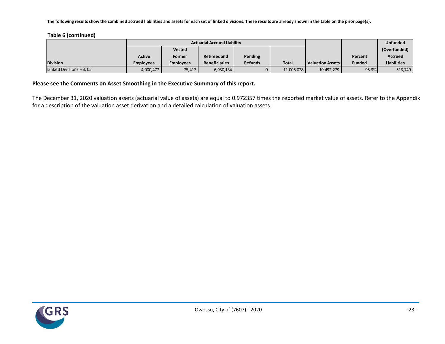**The following results show the combined accrued liabilities and assets for each set of linked divisions. These results are already shown in the table on the prior page(s).**

**Table 6 (continued)**

|                         |                  |                  | <b>Actuarial Accrued Liability</b> |                |              | <b>Unfunded</b>         |               |                    |
|-------------------------|------------------|------------------|------------------------------------|----------------|--------------|-------------------------|---------------|--------------------|
|                         |                  | <b>Vested</b>    |                                    |                |              |                         |               | (Overfunded)       |
|                         | <b>Active</b>    | Former           | <b>Retirees and</b>                | Pending        |              |                         | Percent       | Accrued            |
| <b>Division</b>         | <b>Employees</b> | <b>Employees</b> | <b>Beneficiaries</b>               | <b>Refunds</b> | <b>Total</b> | <b>Valuation Assets</b> | <b>Funded</b> | <b>Liabilities</b> |
| Linked Divisions HB, 05 | 4,000,477        | 75,417           | 6,930,134                          |                | 11,006,028   | 10,492,279              | 95.3%         | 513,749            |

#### **Please see the Comments on Asset Smoothing in the Executive Summary of this report.**

The December 31, 2020 valuation assets (actuarial value of assets) are equal to 0.972357 times the reported market value of assets. Refer to the Appendix for a description of the valuation asset derivation and a detailed calculation of valuation assets.

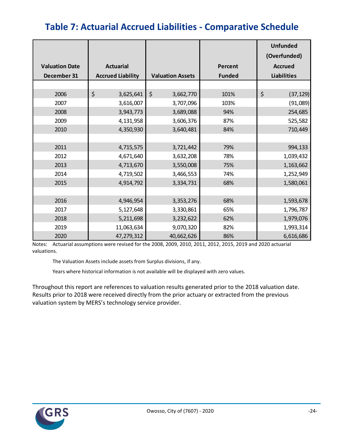# **Table 7: Actuarial Accrued Liabilities - Comparative Schedule**

|                       |                          |                         |                | <b>Unfunded</b><br>(Overfunded) |  |
|-----------------------|--------------------------|-------------------------|----------------|---------------------------------|--|
| <b>Valuation Date</b> | <b>Actuarial</b>         |                         | <b>Percent</b> | <b>Accrued</b>                  |  |
| December 31           | <b>Accrued Liability</b> | <b>Valuation Assets</b> | <b>Funded</b>  | <b>Liabilities</b>              |  |
|                       |                          |                         |                |                                 |  |
| 2006                  | \$<br>3,625,641          | $\zeta$<br>3,662,770    | 101%           | \$<br>(37, 129)                 |  |
| 2007                  | 3,616,007                | 3,707,096               | 103%           | (91,089)                        |  |
| 2008                  | 3,943,773                | 3,689,088               | 94%            | 254,685                         |  |
| 2009                  | 4,131,958                | 3,606,376               | 87%            | 525,582                         |  |
| 2010                  | 4,350,930                | 3,640,481               | 84%            | 710,449                         |  |
|                       |                          |                         |                |                                 |  |
| 2011                  | 4,715,575                | 3,721,442               | 79%            | 994,133                         |  |
| 2012                  | 4,671,640                | 3,632,208               | 78%            | 1,039,432                       |  |
| 2013                  | 4,713,670                | 3,550,008               | 75%            | 1,163,662                       |  |
| 2014                  | 4,719,502                | 3,466,553               | 74%            | 1,252,949                       |  |
| 2015                  | 4,914,792                | 3,334,731               | 68%            | 1,580,061                       |  |
|                       |                          |                         |                |                                 |  |
| 2016                  | 4,946,954                | 3,353,276               | 68%            | 1,593,678                       |  |
| 2017                  | 5,127,648                | 3,330,861               | 65%            | 1,796,787                       |  |
| 2018                  | 5,211,698                | 3,232,622               | 62%            | 1,979,076                       |  |
| 2019                  | 11,063,634               | 9,070,320               | 82%            | 1,993,314                       |  |
| 2020                  | 47,279,312               | 40,662,626              | 86%            | 6,616,686                       |  |

Notes: Actuarial assumptions were revised for the 2008, 2009, 2010, 2011, 2012, 2015, 2019 and 2020 actuarial valuations.

The Valuation Assets include assets from Surplus divisions, if any.

Years where historical information is not available will be displayed with zero values.

Throughout this report are references to valuation results generated prior to the 2018 valuation date. Results prior to 2018 were received directly from the prior actuary or extracted from the previous valuation system by MERS's technology service provider.

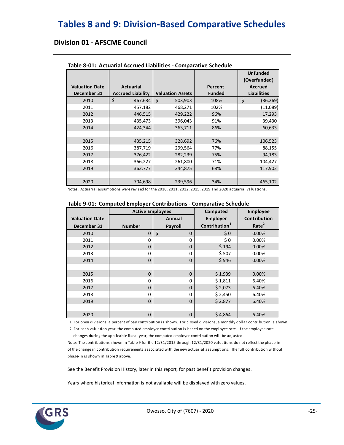# **Tables 8 and 9: Division-Based Comparative Schedules**

### **Division 01 - AFSCME Council**

|                       |                          |                         |               | <b>Unfunded</b><br>(Overfunded) |  |
|-----------------------|--------------------------|-------------------------|---------------|---------------------------------|--|
| <b>Valuation Date</b> | <b>Actuarial</b>         |                         | Percent       | <b>Accrued</b>                  |  |
| December 31           | <b>Accrued Liability</b> | <b>Valuation Assets</b> | <b>Funded</b> | <b>Liabilities</b>              |  |
| 2010                  | \$<br>467,634            | Ś.<br>503,903           | 108%          | \$<br>(36, 269)                 |  |
| 2011                  | 457,182                  | 468,271                 | 102%          | (11,089)                        |  |
| 2012                  | 446,515                  | 429,222                 | 96%           | 17,293                          |  |
| 2013                  | 435,473                  | 396,043                 | 91%           | 39,430                          |  |
| 2014                  | 424,344                  | 363,711                 | 86%           | 60,633                          |  |
|                       |                          |                         |               |                                 |  |
| 2015                  | 435,215                  | 328,692                 | 76%           | 106,523                         |  |
| 2016                  | 387,719                  | 299,564                 | 77%           | 88,155                          |  |
| 2017                  | 376,422                  | 282,239                 | 75%           | 94,183                          |  |
| 2018                  | 366,227                  | 261,800                 | 71%           | 104,427                         |  |
| 2019                  | 362,777                  | 244,875                 | 68%           | 117,902                         |  |
|                       |                          |                         |               |                                 |  |
| 2020                  | 704.698                  | 239,596                 | 34%           | 465,102                         |  |

#### **Table 8-01: Actuarial Accrued Liabilities - Comparative Schedule**

Notes: Actuarial assumptions were revised for the 2010, 2011, 2012, 2015, 2019 and 2020 actuarial valuations.

|                       |                         | rapic 5 01. Compated Employer Continuations Comparative Schedule |                           |                   |  |
|-----------------------|-------------------------|------------------------------------------------------------------|---------------------------|-------------------|--|
|                       | <b>Active Employees</b> |                                                                  | Computed                  | <b>Employee</b>   |  |
| <b>Valuation Date</b> |                         | Annual                                                           | <b>Employer</b>           | Contribution      |  |
| December 31           | <b>Number</b>           | Payroll                                                          | Contribution <sup>1</sup> | Rate <sup>2</sup> |  |
| 2010                  | $\mathbf 0$             | $\zeta$<br>$\mathbf 0$                                           | \$0                       | 0.00%             |  |
| 2011                  | 0                       | $\Omega$                                                         | \$0                       | 0.00%             |  |
| 2012                  | 0                       | 0                                                                | \$194                     | 0.00%             |  |
| 2013                  | 0                       | 0                                                                | \$507                     | 0.00%             |  |
| 2014                  | 0                       | 0                                                                | \$946                     | 0.00%             |  |
|                       |                         |                                                                  |                           |                   |  |
| 2015                  | $\mathbf 0$             | $\Omega$                                                         | \$1,939                   | 0.00%             |  |
| 2016                  | 0                       | $\Omega$                                                         | \$1,811                   | 6.40%             |  |
| 2017                  | 0                       | $\mathbf 0$                                                      | \$2,073                   | 6.40%             |  |
| 2018                  | 0                       | $\Omega$                                                         | \$2,450                   | 6.40%             |  |
| 2019                  | 0                       | $\mathbf 0$                                                      | \$2,877                   | 6.40%             |  |
|                       |                         |                                                                  |                           |                   |  |
| 2020                  | 0                       | $\mathbf 0$                                                      | \$4,864                   | 6.40%             |  |

#### **Table 9-01: Computed Employer Contributions - Comparative Schedule**

1 For open divisions, a percent of pay contribution is shown. For closed divisions, a monthly dollar contribution is shown.

 2 For each valuation year, the computed employer contribution is based on the employee rate. If the employee rate changes during the applicable fiscal year, the computed employer contribution will be adjusted.

Note: The contributions shown in Table 9 for the 12/31/2015 through 12/31/2020 valuations do not reflect the phase-in of the change in contribution requirements associated with the new actuarial assumptions. The full contribution without phase-in is shown in Table 9 above.

See the Benefit Provision History, later in this report, for past benefit provision changes.

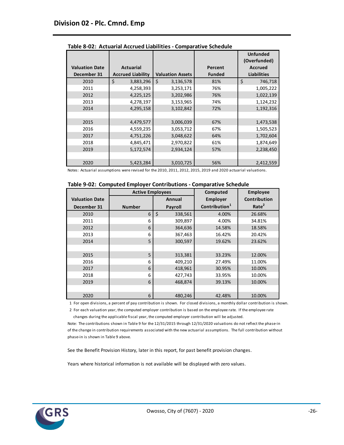|                       |                          |                         |               | <b>Unfunded</b><br>(Overfunded) |
|-----------------------|--------------------------|-------------------------|---------------|---------------------------------|
| <b>Valuation Date</b> | Actuarial                |                         | Percent       | Accrued                         |
| December 31           | <b>Accrued Liability</b> | <b>Valuation Assets</b> | <b>Funded</b> | <b>Liabilities</b>              |
| 2010                  | \$<br>3,883,296          | \$<br>3,136,578         | 81%           | \$<br>746,718                   |
| 2011                  | 4,258,393                | 3,253,171               | 76%           | 1,005,222                       |
| 2012                  | 4,225,125                | 3,202,986               | 76%           | 1,022,139                       |
| 2013                  | 4,278,197                | 3,153,965               | 74%           | 1,124,232                       |
| 2014                  | 4,295,158                | 3,102,842               | 72%           | 1,192,316                       |
|                       |                          |                         |               |                                 |
| 2015                  | 4,479,577                | 3,006,039               | 67%           | 1,473,538                       |
| 2016                  | 4,559,235                | 3,053,712               | 67%           | 1,505,523                       |
| 2017                  | 4,751,226                | 3,048,622               | 64%           | 1,702,604                       |
| 2018                  | 4,845,471                | 2,970,822               | 61%           | 1,874,649                       |
| 2019                  | 5,172,574                | 2,934,124               | 57%           | 2,238,450                       |
|                       |                          |                         |               |                                 |
| 2020                  | 5,423,284                | 3,010,725               | 56%           | 2,412,559                       |

**Table 8-02: Actuarial Accrued Liabilities - Comparative Schedule**

|  | Table 9-02: Computed Employer Contributions - Comparative Schedule |  |  |  |
|--|--------------------------------------------------------------------|--|--|--|
|--|--------------------------------------------------------------------|--|--|--|

|                       | <b>Active Employees</b> |                | Computed                  | <b>Employee</b>     |
|-----------------------|-------------------------|----------------|---------------------------|---------------------|
| <b>Valuation Date</b> |                         | Annual         | <b>Employer</b>           | <b>Contribution</b> |
| December 31           | <b>Number</b>           | <b>Payroll</b> | Contribution <sup>1</sup> | Rate <sup>2</sup>   |
| 2010                  | 6                       | \$<br>338,561  | 4.00%                     | 26.68%              |
| 2011                  | 6                       | 309,897        | 4.00%                     | 34.81%              |
| 2012                  | 6                       | 364,636        | 14.58%                    | 18.58%              |
| 2013                  | 6                       | 367,463        | 16.42%                    | 20.42%              |
| 2014                  | 5                       | 300,597        | 19.62%                    | 23.62%              |
|                       |                         |                |                           |                     |
| 2015                  | 5                       | 313,381        | 33.23%                    | 12.00%              |
| 2016                  | 6                       | 409,210        | 27.49%                    | 11.00%              |
| 2017                  | 6                       | 418,961        | 30.95%                    | 10.00%              |
| 2018                  | 6                       | 427,743        | 33.95%                    | 10.00%              |
| 2019                  | 6                       | 468,874        | 39.13%                    | 10.00%              |
|                       |                         |                |                           |                     |
| 2020                  | 6                       | 480,246        | 42.48%                    | 10.00%              |

1 For open divisions, a percent of pay contribution is shown. For closed divisions, a monthly dollar contribution is shown.

 2 For each valuation year, the computed employer contribution is based on the employee rate. If the employee rate changes during the applicable fiscal year, the computed employer contribution will be adjusted.

Note: The contributions shown in Table 9 for the 12/31/2015 through 12/31/2020 valuations do not reflect the phase-in of the change in contribution requirements associated with the new actuarial assumptions. The full contribution without phase-in is shown in Table 9 above.

See the Benefit Provision History, later in this report, for past benefit provision changes.

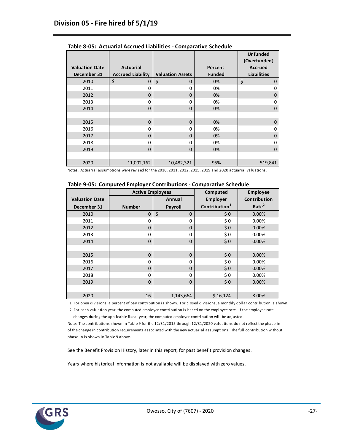|                                      |                                              |                         |                          | <b>Unfunded</b><br>(Overfunded)      |
|--------------------------------------|----------------------------------------------|-------------------------|--------------------------|--------------------------------------|
| <b>Valuation Date</b><br>December 31 | <b>Actuarial</b><br><b>Accrued Liability</b> | <b>Valuation Assets</b> | Percent<br><b>Funded</b> | <b>Accrued</b><br><b>Liabilities</b> |
| 2010                                 | \$<br>0                                      | \$<br>$\mathbf 0$       | 0%                       | \$<br>0                              |
| 2011                                 | 0                                            | $\Omega$                | 0%                       | 0                                    |
| 2012                                 | 0                                            | $\Omega$                | 0%                       | 0                                    |
| 2013                                 | 0                                            | $\Omega$                | 0%                       | 0                                    |
| 2014                                 | $\mathbf 0$                                  | $\Omega$                | 0%                       | $\Omega$                             |
|                                      |                                              |                         |                          |                                      |
| 2015                                 | $\mathbf 0$                                  | $\mathbf 0$             | 0%                       | $\mathbf 0$                          |
| 2016                                 | 0                                            | $\Omega$                | 0%                       | 0                                    |
| 2017                                 | 0                                            | $\Omega$                | 0%                       | 0                                    |
| 2018                                 | 0                                            | 0                       | 0%                       | 0                                    |
| 2019                                 | $\Omega$                                     | $\Omega$                | 0%                       | $\Omega$                             |
|                                      |                                              |                         |                          |                                      |
| 2020                                 | 11,002,162                                   | 10,482,321              | 95%                      | 519,841                              |

**Table 8-05: Actuarial Accrued Liabilities - Comparative Schedule**

|  | Table 9-05: Computed Employer Contributions - Comparative Schedule |  |  |  |
|--|--------------------------------------------------------------------|--|--|--|
|--|--------------------------------------------------------------------|--|--|--|

|                       | <b>Active Employees</b> |                   | Computed                  | <b>Employee</b>   |
|-----------------------|-------------------------|-------------------|---------------------------|-------------------|
| <b>Valuation Date</b> |                         | Annual            | <b>Employer</b>           | Contribution      |
| December 31           | <b>Number</b>           | Payroll           | Contribution <sup>1</sup> | Rate <sup>2</sup> |
| 2010                  | $\mathbf 0$             | \$<br>$\mathbf 0$ | \$0                       | 0.00%             |
| 2011                  | 0                       | 0                 | \$0                       | 0.00%             |
| 2012                  | 0                       | $\mathbf 0$       | \$0                       | 0.00%             |
| 2013                  | 0                       | 0                 | \$0                       | 0.00%             |
| 2014                  | $\mathbf 0$             | $\mathbf 0$       | \$0                       | 0.00%             |
|                       |                         |                   |                           |                   |
| 2015                  | $\mathbf 0$             | $\mathbf 0$       | \$0                       | 0.00%             |
| 2016                  | 0                       | 0                 | \$0                       | 0.00%             |
| 2017                  | 0                       | $\Omega$          | \$0                       | 0.00%             |
| 2018                  | 0                       | 0                 | \$0                       | 0.00%             |
| 2019                  | $\mathbf 0$             | $\Omega$          | \$0                       | 0.00%             |
|                       |                         |                   |                           |                   |
| 2020                  | 16                      | 1,143,664         | \$16,124                  | 8.00%             |

1 For open divisions, a percent of pay contribution is shown. For closed divisions, a monthly dollar contribution is shown.

 2 For each valuation year, the computed employer contribution is based on the employee rate. If the employee rate changes during the applicable fiscal year, the computed employer contribution will be adjusted.

Note: The contributions shown in Table 9 for the 12/31/2015 through 12/31/2020 valuations do not reflect the phase-in of the change in contribution requirements associated with the new actuarial assumptions. The full contribution without phase-in is shown in Table 9 above.

See the Benefit Provision History, later in this report, for past benefit provision changes.

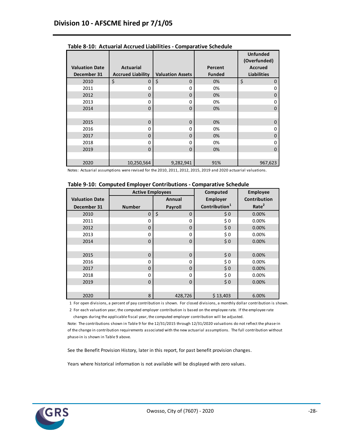|                                      |                                              |                         |                          | <b>Unfunded</b><br>(Overfunded)      |
|--------------------------------------|----------------------------------------------|-------------------------|--------------------------|--------------------------------------|
| <b>Valuation Date</b><br>December 31 | <b>Actuarial</b><br><b>Accrued Liability</b> | <b>Valuation Assets</b> | Percent<br><b>Funded</b> | <b>Accrued</b><br><b>Liabilities</b> |
| 2010                                 | \$<br>0                                      | \$<br>0                 | 0%                       | \$<br>0                              |
| 2011                                 | 0                                            | 0                       | 0%                       | 0                                    |
| 2012                                 | 0                                            | 0                       | 0%                       | 0                                    |
| 2013                                 | 0                                            | 0                       | 0%                       | 0                                    |
| 2014                                 | $\Omega$                                     | $\Omega$                | 0%                       | $\Omega$                             |
|                                      |                                              |                         |                          |                                      |
| 2015                                 | $\Omega$                                     | $\Omega$                | 0%                       | $\Omega$                             |
| 2016                                 | 0                                            | 0                       | 0%                       | 0                                    |
| 2017                                 | 0                                            | 0                       | 0%                       | 0                                    |
| 2018                                 | 0                                            | 0                       | 0%                       | 0                                    |
| 2019                                 | $\Omega$                                     | $\Omega$                | 0%                       | $\Omega$                             |
|                                      |                                              |                         |                          |                                      |
| 2020                                 | 10,250,564                                   | 9,282,941               | 91%                      | 967,623                              |

**Table 8-10: Actuarial Accrued Liabilities - Comparative Schedule**

|                       | <b>Active Employees</b> |                   | Computed                  | Employee          |
|-----------------------|-------------------------|-------------------|---------------------------|-------------------|
| <b>Valuation Date</b> |                         | Annual            | <b>Employer</b>           | Contribution      |
| December 31           | <b>Number</b>           | Payroll           | Contribution <sup>1</sup> | Rate <sup>2</sup> |
| 2010                  | $\mathbf 0$             | \$<br>$\mathbf 0$ | \$0                       | 0.00%             |
| 2011                  | 0                       | 0                 | \$0                       | 0.00%             |
| 2012                  | 0                       | $\mathbf 0$       | \$0                       | 0.00%             |
| 2013                  | 0                       | 0                 | \$0                       | 0.00%             |
| 2014                  | $\mathbf 0$             | $\mathbf 0$       | \$0                       | 0.00%             |
|                       |                         |                   |                           |                   |
| 2015                  | $\mathbf 0$             | $\mathbf 0$       | \$0                       | 0.00%             |
| 2016                  | 0                       | 0                 | \$0                       | 0.00%             |
| 2017                  | 0                       | $\mathbf 0$       | \$0                       | 0.00%             |
| 2018                  | 0                       | 0                 | \$0                       | 0.00%             |
| 2019                  | $\mathbf 0$             | $\mathbf 0$       | \$0                       | 0.00%             |
|                       |                         |                   |                           |                   |
| 2020                  | 8                       | 428,726           | \$13,403                  | 6.00%             |

1 For open divisions, a percent of pay contribution is shown. For closed divisions, a monthly dollar contribution is shown.

 2 For each valuation year, the computed employer contribution is based on the employee rate. If the employee rate changes during the applicable fiscal year, the computed employer contribution will be adjusted.

Note: The contributions shown in Table 9 for the 12/31/2015 through 12/31/2020 valuations do not reflect the phase-in of the change in contribution requirements associated with the new actuarial assumptions. The full contribution without phase-in is shown in Table 9 above.

See the Benefit Provision History, later in this report, for past benefit provision changes.

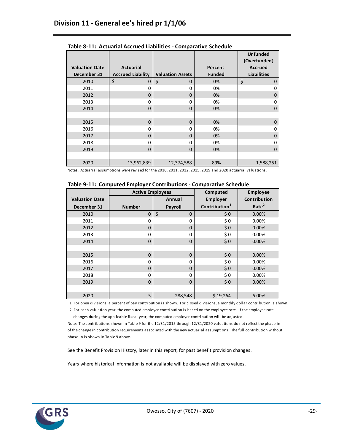|                       |                          |                         |               | <b>Unfunded</b><br>(Overfunded) |
|-----------------------|--------------------------|-------------------------|---------------|---------------------------------|
| <b>Valuation Date</b> | <b>Actuarial</b>         |                         | Percent       | <b>Accrued</b>                  |
| December 31           | <b>Accrued Liability</b> | <b>Valuation Assets</b> | <b>Funded</b> | <b>Liabilities</b>              |
| 2010                  | \$<br>0                  | \$<br>$\Omega$          | 0%            | \$<br>0                         |
| 2011                  | 0                        | 0                       | 0%            | ი                               |
| 2012                  | 0                        | 0                       | 0%            | 0                               |
| 2013                  | 0                        | 0                       | 0%            | O                               |
| 2014                  | $\Omega$                 | $\Omega$                | 0%            | 0                               |
|                       |                          |                         |               |                                 |
| 2015                  | $\Omega$                 | $\Omega$                | 0%            | 0                               |
| 2016                  | 0                        | $\Omega$                | 0%            | ი                               |
| 2017                  | 0                        | 0                       | 0%            | 0                               |
| 2018                  | 0                        | 0                       | 0%            | n                               |
| 2019                  | $\Omega$                 | 0                       | 0%            | 0                               |
|                       |                          |                         |               |                                 |
| 2020                  | 13,962,839               | 12,374,588              | 89%           | 1,588,251                       |

**Table 8-11: Actuarial Accrued Liabilities - Comparative Schedule**

|                       | <b>Active Employees</b> |                   | Computed                  | <b>Employee</b>   |
|-----------------------|-------------------------|-------------------|---------------------------|-------------------|
| <b>Valuation Date</b> |                         | Annual            | <b>Employer</b>           | Contribution      |
| December 31           | <b>Number</b>           | Payroll           | Contribution <sup>1</sup> | Rate <sup>2</sup> |
| 2010                  | $\mathbf 0$             | \$<br>$\mathbf 0$ | \$0                       | 0.00%             |
| 2011                  | 0                       | 0                 | \$0                       | 0.00%             |
| 2012                  | 0                       | $\mathbf 0$       | \$0                       | 0.00%             |
| 2013                  | 0                       | 0                 | \$0                       | 0.00%             |
| 2014                  | $\mathbf 0$             | $\mathbf 0$       | \$0                       | 0.00%             |
|                       |                         |                   |                           |                   |
| 2015                  | $\mathbf 0$             | $\mathbf 0$       | \$0                       | 0.00%             |
| 2016                  | 0                       | 0                 | \$0                       | 0.00%             |
| 2017                  | $\Omega$                | $\Omega$          | \$0                       | 0.00%             |
| 2018                  | 0                       | $\Omega$          | \$0                       | 0.00%             |
| 2019                  | $\mathbf 0$             | $\Omega$          | \$0                       | 0.00%             |
|                       |                         |                   |                           |                   |
| 2020                  | 5                       | 288,548           | \$19,264                  | 6.00%             |

1 For open divisions, a percent of pay contribution is shown. For closed divisions, a monthly dollar contribution is shown.

 2 For each valuation year, the computed employer contribution is based on the employee rate. If the employee rate changes during the applicable fiscal year, the computed employer contribution will be adjusted.

Note: The contributions shown in Table 9 for the 12/31/2015 through 12/31/2020 valuations do not reflect the phase-in of the change in contribution requirements associated with the new actuarial assumptions. The full contribution without phase-in is shown in Table 9 above.

See the Benefit Provision History, later in this report, for past benefit provision changes.

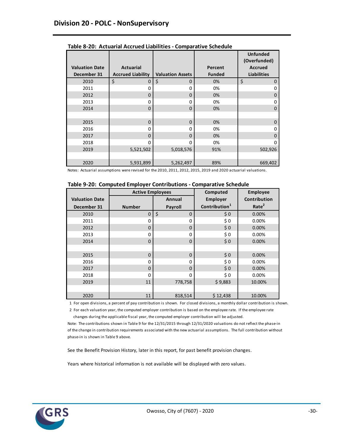|                                      |                                              |                         |                          | <b>Unfunded</b><br>(Overfunded)      |
|--------------------------------------|----------------------------------------------|-------------------------|--------------------------|--------------------------------------|
| <b>Valuation Date</b><br>December 31 | <b>Actuarial</b><br><b>Accrued Liability</b> | <b>Valuation Assets</b> | Percent<br><b>Funded</b> | <b>Accrued</b><br><b>Liabilities</b> |
| 2010                                 | \$<br>0                                      | \$<br>0                 | 0%                       | \$<br>0                              |
| 2011                                 | 0                                            | 0                       | 0%                       | Ω                                    |
| 2012                                 | 0                                            | 0                       | 0%                       | 0                                    |
| 2013                                 | 0                                            | 0                       | 0%                       | 0                                    |
| 2014                                 | $\Omega$                                     | $\Omega$                | 0%                       | 0                                    |
|                                      |                                              |                         |                          |                                      |
| 2015                                 | $\mathbf 0$                                  | 0                       | 0%                       | 0                                    |
| 2016                                 | 0                                            | 0                       | 0%                       | Ω                                    |
| 2017                                 | 0                                            | 0                       | 0%                       | O                                    |
| 2018                                 | O                                            | 0                       | 0%                       | n                                    |
| 2019                                 | 5,521,502                                    | 5,018,576               | 91%                      | 502,926                              |
|                                      |                                              |                         |                          |                                      |
| 2020                                 | 5,931,899                                    | 5,262,497               | 89%                      | 669,402                              |

**Table 8-20: Actuarial Accrued Liabilities - Comparative Schedule**

|  |  |  | Table 9-20: Computed Employer Contributions - Comparative Schedule |
|--|--|--|--------------------------------------------------------------------|
|--|--|--|--------------------------------------------------------------------|

|                       | <b>Active Employees</b> |                   | Computed                  | <b>Employee</b>   |
|-----------------------|-------------------------|-------------------|---------------------------|-------------------|
| <b>Valuation Date</b> |                         | Annual            | <b>Employer</b>           | Contribution      |
| December 31           | <b>Number</b>           | Payroll           | Contribution <sup>1</sup> | Rate <sup>2</sup> |
| 2010                  | $\mathbf 0$             | \$<br>$\mathbf 0$ | \$0                       | 0.00%             |
| 2011                  | 0                       | 0                 | \$0                       | 0.00%             |
| 2012                  | 0                       | $\mathbf 0$       | \$0                       | 0.00%             |
| 2013                  | 0                       | 0                 | \$0                       | 0.00%             |
| 2014                  | $\mathbf 0$             | $\mathbf 0$       | \$0                       | 0.00%             |
|                       |                         |                   |                           |                   |
| 2015                  | $\mathbf 0$             | $\mathbf 0$       | \$0                       | 0.00%             |
| 2016                  | 0                       | 0                 | \$0                       | 0.00%             |
| 2017                  | 0                       | $\Omega$          | \$0                       | 0.00%             |
| 2018                  | 0                       | $\Omega$          | \$0                       | 0.00%             |
| 2019                  | 11                      | 778,758           | \$9,883                   | 10.00%            |
|                       |                         |                   |                           |                   |
| 2020                  | 11                      | 818,514           | \$12,438                  | 10.00%            |

1 For open divisions, a percent of pay contribution is shown. For closed divisions, a monthly dollar contribution is shown.

 2 For each valuation year, the computed employer contribution is based on the employee rate. If the employee rate changes during the applicable fiscal year, the computed employer contribution will be adjusted.

Note: The contributions shown in Table 9 for the 12/31/2015 through 12/31/2020 valuations do not reflect the phase-in of the change in contribution requirements associated with the new actuarial assumptions. The full contribution without phase-in is shown in Table 9 above.

See the Benefit Provision History, later in this report, for past benefit provision changes.

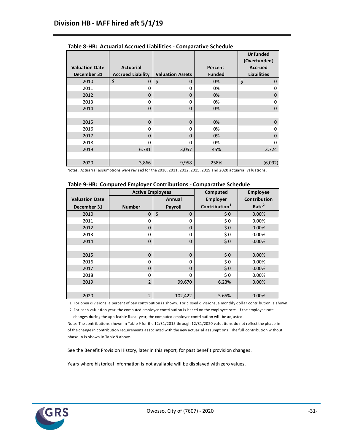|                                      |                                              |                         |                          | <b>Unfunded</b><br>(Overfunded)      |
|--------------------------------------|----------------------------------------------|-------------------------|--------------------------|--------------------------------------|
| <b>Valuation Date</b><br>December 31 | <b>Actuarial</b><br><b>Accrued Liability</b> | <b>Valuation Assets</b> | Percent<br><b>Funded</b> | <b>Accrued</b><br><b>Liabilities</b> |
| 2010                                 | \$<br>0                                      | \$<br>$\mathbf 0$       | 0%                       | \$<br>0                              |
| 2011                                 | 0                                            | 0                       | 0%                       | 0                                    |
| 2012                                 | 0                                            | $\Omega$                | 0%                       | 0                                    |
| 2013                                 | 0                                            | 0                       | 0%                       | 0                                    |
| 2014                                 | $\mathbf 0$                                  | $\Omega$                | 0%                       | $\mathbf 0$                          |
|                                      |                                              |                         |                          |                                      |
| 2015                                 | $\mathbf 0$                                  | $\mathbf 0$             | 0%                       | $\mathbf 0$                          |
| 2016                                 | 0                                            | 0                       | 0%                       | 0                                    |
| 2017                                 | $\Omega$                                     | $\Omega$                | 0%                       | 0                                    |
| 2018                                 | 0                                            | $\Omega$                | 0%                       | 0                                    |
| 2019                                 | 6,781                                        | 3,057                   | 45%                      | 3,724                                |
|                                      |                                              |                         |                          |                                      |
| 2020                                 | 3,866                                        | 9,958                   | 258%                     | (6,092)                              |

**Table 8-HB: Actuarial Accrued Liabilities - Comparative Schedule**

|                       | <b>Active Employees</b> |                   | Computed                  | <b>Employee</b>   |
|-----------------------|-------------------------|-------------------|---------------------------|-------------------|
| <b>Valuation Date</b> |                         | Annual            | <b>Employer</b>           | Contribution      |
| December 31           | <b>Number</b>           | Payroll           | Contribution <sup>1</sup> | Rate <sup>2</sup> |
| 2010                  | $\mathbf 0$             | \$<br>$\mathbf 0$ | \$0                       | 0.00%             |
| 2011                  | 0                       | 0                 | \$0                       | 0.00%             |
| 2012                  | 0                       | $\mathbf 0$       | \$0                       | 0.00%             |
| 2013                  | 0                       | 0                 | \$0                       | 0.00%             |
| 2014                  | $\mathbf 0$             | $\mathbf 0$       | \$0                       | 0.00%             |
|                       |                         |                   |                           |                   |
| 2015                  | $\mathbf 0$             | $\mathbf 0$       | \$0                       | 0.00%             |
| 2016                  | 0                       | 0                 | \$0                       | 0.00%             |
| 2017                  | 0                       | $\Omega$          | \$0                       | 0.00%             |
| 2018                  | 0                       | $\Omega$          | \$0                       | 0.00%             |
| 2019                  | $\overline{2}$          | 99,670            | 6.23%                     | 0.00%             |
|                       |                         |                   |                           |                   |
| 2020                  | $\overline{2}$          | 102,422           | 5.65%                     | 0.00%             |

1 For open divisions, a percent of pay contribution is shown. For closed divisions, a monthly dollar contribution is shown.

 2 For each valuation year, the computed employer contribution is based on the employee rate. If the employee rate changes during the applicable fiscal year, the computed employer contribution will be adjusted.

Note: The contributions shown in Table 9 for the 12/31/2015 through 12/31/2020 valuations do not reflect the phase-in of the change in contribution requirements associated with the new actuarial assumptions. The full contribution without phase-in is shown in Table 9 above.

See the Benefit Provision History, later in this report, for past benefit provision changes.

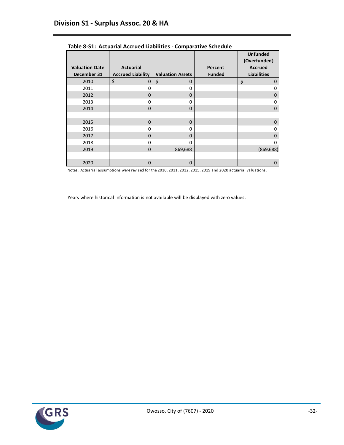|                       |                          |                         |               | <b>Unfunded</b><br>(Overfunded) |
|-----------------------|--------------------------|-------------------------|---------------|---------------------------------|
| <b>Valuation Date</b> | <b>Actuarial</b>         |                         | Percent       | <b>Accrued</b>                  |
| December 31           | <b>Accrued Liability</b> | <b>Valuation Assets</b> | <b>Funded</b> | <b>Liabilities</b>              |
| 2010                  | \$<br>0                  | \$<br>$\Omega$          |               | \$<br>$\Omega$                  |
| 2011                  | 0                        | 0                       |               | 0                               |
| 2012                  | 0                        | $\mathbf 0$             |               | 0                               |
| 2013                  | 0                        | 0                       |               | 0                               |
| 2014                  | $\Omega$                 | $\Omega$                |               | $\Omega$                        |
|                       |                          |                         |               |                                 |
| 2015                  | $\Omega$                 | $\Omega$                |               | $\Omega$                        |
| 2016                  | 0                        | 0                       |               | 0                               |
| 2017                  | 0                        | $\Omega$                |               | 0                               |
| 2018                  | 0                        | <sup>0</sup>            |               | o                               |
| 2019                  | $\Omega$                 | 869,688                 |               | (869, 688)                      |
|                       |                          |                         |               |                                 |
| 2020                  | $\mathbf 0$              | $\mathbf 0$             |               | 0                               |

**Table 8-S1: Actuarial Accrued Liabilities - Comparative Schedule**

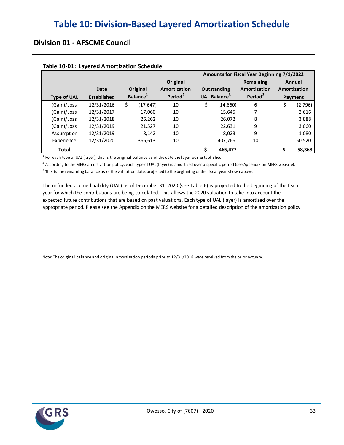## **Division 01 - AFSCME Council**

| TUDIC 10 01: Euvereu Allioi (Izucion Scheuule |                    |                      |                     | Amounts for Fiscal Year Beginning 7/1/2022 |                                 |                     |        |              |  |  |  |
|-----------------------------------------------|--------------------|----------------------|---------------------|--------------------------------------------|---------------------------------|---------------------|--------|--------------|--|--|--|
|                                               |                    |                      | Original            | Remaining                                  |                                 |                     | Annual |              |  |  |  |
|                                               | Date               | Original             | <b>Amortization</b> | Outstanding                                |                                 | Amortization        |        | Amortization |  |  |  |
| <b>Type of UAL</b>                            | <b>Established</b> | Balance <sup>1</sup> | Period <sup>2</sup> |                                            | <b>UAL Balance</b> <sup>3</sup> | Period <sup>2</sup> |        | Payment      |  |  |  |
| (Gain)/Loss                                   | 12/31/2016         | (17, 647)<br>S       | 10                  | S                                          | (14, 660)                       | 6                   | S      | (2,796)      |  |  |  |
| (Gain)/Loss                                   | 12/31/2017         | 17,060               | 10                  |                                            | 15,645                          |                     |        | 2,616        |  |  |  |
| (Gain)/Loss                                   | 12/31/2018         | 26,262               | 10                  |                                            | 26,072                          | 8                   |        | 3,888        |  |  |  |
| (Gain)/Loss                                   | 12/31/2019         | 21,527               | 10                  |                                            | 22,631                          | 9                   |        | 3,060        |  |  |  |
| Assumption                                    | 12/31/2019         | 8.142                | 10                  |                                            | 8.023                           | 9                   |        | 1,080        |  |  |  |
| Experience                                    | 12/31/2020         | 366,613              | 10                  |                                            | 407,766                         | 10                  |        | 50,520       |  |  |  |
| <b>Total</b>                                  |                    |                      |                     |                                            | 465,477                         |                     |        | 58,368       |  |  |  |

#### **Table 10-01: Layered Amortization Schedule**

 $<sup>1</sup>$  For each type of UAL (layer), this is the original balance as of the date the layer was established.</sup>

 $^2$  According to the MERS amortization policy, each type of UAL (layer) is amortized over a specific period (see Appendix on MERS website).

 $^3$  This is the remaining balance as of the valuation date, projected to the beginning of the fiscal year shown above.

The unfunded accrued liability (UAL) as of December 31, 2020 (see Table 6) is projected to the beginning of the fiscal appropriate period. Please see the Appendix on the MERS website for a detailed description of the amortization policy. year for which the contributions are being calculated. This allows the 2020 valuation to take into account the expected future contributions that are based on past valuations. Each type of UAL (layer) is amortized over the

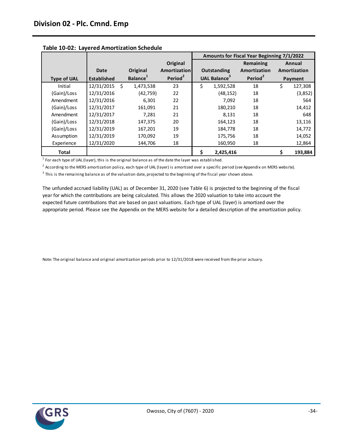|                    |                    |     |                      |                     | Amounts for Fiscal Year Beginning 7/1/2022 |                          |                     |   |              |  |  |  |
|--------------------|--------------------|-----|----------------------|---------------------|--------------------------------------------|--------------------------|---------------------|---|--------------|--|--|--|
|                    |                    |     |                      | Original            |                                            |                          | Remaining           |   | Annual       |  |  |  |
|                    | Date               |     | Original             | Amortization        |                                            | <b>Outstanding</b>       | Amortization        |   | Amortization |  |  |  |
| <b>Type of UAL</b> | <b>Established</b> |     | Balance <sup>1</sup> | Period <sup>2</sup> |                                            | UAL Balance <sup>3</sup> | Period <sup>2</sup> |   | Payment      |  |  |  |
| Initial            | 12/31/2015         | - Ś | 1,473,538            | 23                  | Ś                                          | 1,592,528                | 18                  | Ś | 127,308      |  |  |  |
| (Gain)/Loss        | 12/31/2016         |     | (42, 759)            | 22                  |                                            | (48, 152)                | 18                  |   | (3,852)      |  |  |  |
| Amendment          | 12/31/2016         |     | 6,301                | 22                  |                                            | 7.092                    | 18                  |   | 564          |  |  |  |
| (Gain)/Loss        | 12/31/2017         |     | 161,091              | 21                  |                                            | 180,210                  | 18                  |   | 14,412       |  |  |  |
| Amendment          | 12/31/2017         |     | 7.281                | 21                  |                                            | 8.131                    | 18                  |   | 648          |  |  |  |
| (Gain)/Loss        | 12/31/2018         |     | 147,375              | 20                  |                                            | 164,123                  | 18                  |   | 13,116       |  |  |  |
| (Gain)/Loss        | 12/31/2019         |     | 167,201              | 19                  |                                            | 184,778                  | 18                  |   | 14,772       |  |  |  |
| Assumption         | 12/31/2019         |     | 170,092              | 19                  |                                            | 175,756                  | 18                  |   | 14,052       |  |  |  |
| Experience         | 12/31/2020         |     | 144,706              | 18                  |                                            | 160,950                  | 18                  |   | 12,864       |  |  |  |
| <b>Total</b>       |                    |     |                      |                     | \$.                                        | 2,425,416                |                     | Ş | 193,884      |  |  |  |

#### **Table 10-02: Layered Amortization Schedule**

 $<sup>1</sup>$  For each type of UAL (layer), this is the original balance as of the date the layer was established.</sup>

<sup>2</sup> According to the MERS amortization policy, each type of UAL (layer) is amortized over a specific period (see Appendix on MERS website).

 $3$  This is the remaining balance as of the valuation date, projected to the beginning of the fiscal year shown above.

The unfunded accrued liability (UAL) as of December 31, 2020 (see Table 6) is projected to the beginning of the fiscal appropriate period. Please see the Appendix on the MERS website for a detailed description of the amortization policy. year for which the contributions are being calculated. This allows the 2020 valuation to take into account the expected future contributions that are based on past valuations. Each type of UAL (layer) is amortized over the

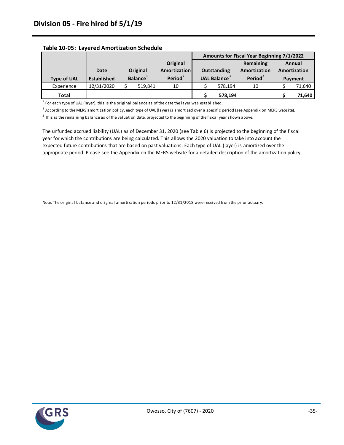|                    |                    |                      |                     | Amounts for Fiscal Year Beginning 7/1/2022 |         |                     |              |         |  |
|--------------------|--------------------|----------------------|---------------------|--------------------------------------------|---------|---------------------|--------------|---------|--|
|                    |                    |                      | Original            |                                            |         | Remaining           | Annual       |         |  |
|                    | Date               | Original             | Amortization        | <b>Outstanding</b>                         |         | Amortization        | Amortization |         |  |
| <b>Type of UAL</b> | <b>Established</b> | Balance <sup>1</sup> | Period <sup>2</sup> | <b>UAL Balance</b> <sup>3</sup>            |         | Period <sup>2</sup> |              | Payment |  |
|                    |                    |                      |                     |                                            |         |                     |              |         |  |
| Experience         | 12/31/2020         | 519.841              | 10                  |                                            | 578.194 | 10                  |              | 71,640  |  |

#### **Table 10-05: Layered Amortization Schedule**

 $<sup>1</sup>$  For each type of UAL (layer), this is the original balance as of the date the layer was established.</sup>

 $^2$  According to the MERS amortization policy, each type of UAL (layer) is amortized over a specific period (see Appendix on MERS website).

 $^3$  This is the remaining balance as of the valuation date, projected to the beginning of the fiscal year shown above.

The unfunded accrued liability (UAL) as of December 31, 2020 (see Table 6) is projected to the beginning of the fiscal appropriate period. Please see the Appendix on the MERS website for a detailed description of the amortization policy. year for which the contributions are being calculated. This allows the 2020 valuation to take into account the expected future contributions that are based on past valuations. Each type of UAL (layer) is amortized over the

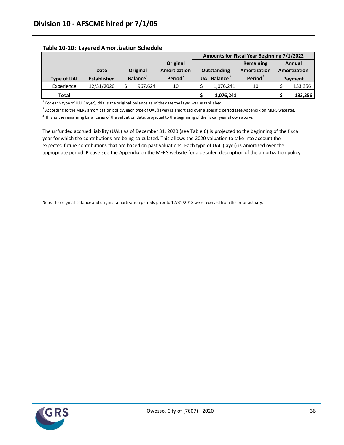|                    |                    |                      |                     | Amounts for Fiscal Year Beginning 7/1/2022 |           |                     |        |              |  |  |
|--------------------|--------------------|----------------------|---------------------|--------------------------------------------|-----------|---------------------|--------|--------------|--|--|
|                    |                    |                      | Original            | Remaining                                  |           |                     | Annual |              |  |  |
|                    | <b>Date</b>        | Original             | Amortization        | <b>Outstanding</b>                         |           | Amortization        |        | Amortization |  |  |
| <b>Type of UAL</b> | <b>Established</b> | Balance <sup>1</sup> | Period <sup>2</sup> | UAL Balance <sup>3</sup>                   |           | Period <sup>2</sup> |        | Payment      |  |  |
| Experience         | 12/31/2020         | 967.624              | 10                  |                                            | 1,076,241 | 10                  |        | 133,356      |  |  |
| <b>Total</b>       |                    |                      |                     |                                            | 1,076,241 |                     |        | 133,356      |  |  |

#### **Table 10-10: Layered Amortization Schedule**

 $<sup>1</sup>$  For each type of UAL (layer), this is the original balance as of the date the layer was established.</sup>

 $^2$  According to the MERS amortization policy, each type of UAL (layer) is amortized over a specific period (see Appendix on MERS website).

 $^3$  This is the remaining balance as of the valuation date, projected to the beginning of the fiscal year shown above.

The unfunded accrued liability (UAL) as of December 31, 2020 (see Table 6) is projected to the beginning of the fiscal appropriate period. Please see the Appendix on the MERS website for a detailed description of the amortization policy. year for which the contributions are being calculated. This allows the 2020 valuation to take into account the expected future contributions that are based on past valuations. Each type of UAL (layer) is amortized over the

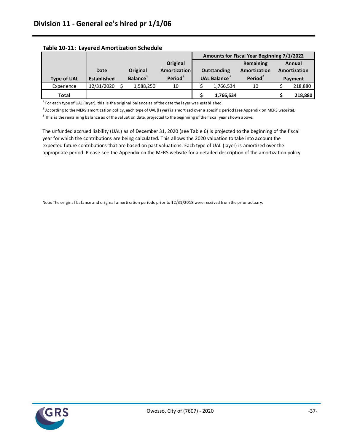|                    |                    |                      |                     | Amounts for Fiscal Year Beginning 7/1/2022 |           |                     |        |              |  |  |
|--------------------|--------------------|----------------------|---------------------|--------------------------------------------|-----------|---------------------|--------|--------------|--|--|
|                    |                    |                      | Original            | Remaining                                  |           |                     | Annual |              |  |  |
|                    | Date               | Original             | Amortization        | Outstanding                                |           | Amortization        |        | Amortization |  |  |
| <b>Type of UAL</b> | <b>Established</b> | Balance <sup>1</sup> | Period <sup>2</sup> | <b>UAL Balance</b> <sup>3</sup>            |           | Period <sup>2</sup> |        | Payment      |  |  |
| Experience         | 12/31/2020         | 1,588,250            | 10                  |                                            | 1,766,534 | 10                  |        | 218,880      |  |  |
|                    |                    |                      |                     |                                            |           |                     |        |              |  |  |

#### **Table 10-11: Layered Amortization Schedule**

 $<sup>1</sup>$  For each type of UAL (layer), this is the original balance as of the date the layer was established.</sup>

 $^2$  According to the MERS amortization policy, each type of UAL (layer) is amortized over a specific period (see Appendix on MERS website).

 $^3$  This is the remaining balance as of the valuation date, projected to the beginning of the fiscal year shown above.

The unfunded accrued liability (UAL) as of December 31, 2020 (see Table 6) is projected to the beginning of the fiscal appropriate period. Please see the Appendix on the MERS website for a detailed description of the amortization policy. year for which the contributions are being calculated. This allows the 2020 valuation to take into account the expected future contributions that are based on past valuations. Each type of UAL (layer) is amortized over the

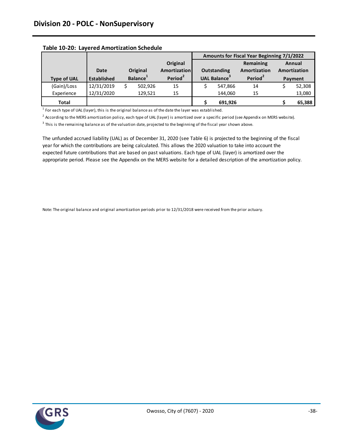|                    |                    |                      |          |                     | Amounts for Fiscal Year Beginning 7/1/2022 |                          |                     |         |              |  |  |
|--------------------|--------------------|----------------------|----------|---------------------|--------------------------------------------|--------------------------|---------------------|---------|--------------|--|--|
|                    |                    |                      |          | Original            |                                            |                          | Remaining           |         | Annual       |  |  |
|                    | Date               |                      | Original | <b>Amortization</b> | Outstanding                                |                          | Amortization        |         | Amortization |  |  |
| <b>Type of UAL</b> | <b>Established</b> | Balance <sup>1</sup> |          | Period <sup>2</sup> |                                            | UAL Balance <sup>3</sup> | Period <sup>2</sup> | Payment |              |  |  |
| (Gain)/Loss        | 12/31/2019         |                      | 502.926  | 15                  |                                            | 547.866                  | 14                  |         | 52,308       |  |  |
| Experience         | 12/31/2020         |                      | 129,521  | 15                  |                                            | 144.060                  | 15                  |         | 13,080       |  |  |
| <b>Total</b>       |                    |                      |          |                     |                                            | 691,926                  |                     |         | 65,388       |  |  |

#### **Table 10-20: Layered Amortization Schedule**

 $<sup>1</sup>$  For each type of UAL (layer), this is the original balance as of the date the layer was established.</sup>

 $^2$  According to the MERS amortization policy, each type of UAL (layer) is amortized over a specific period (see Appendix on MERS website).

 $^3$  This is the remaining balance as of the valuation date, projected to the beginning of the fiscal year shown above.

The unfunded accrued liability (UAL) as of December 31, 2020 (see Table 6) is projected to the beginning of the fiscal appropriate period. Please see the Appendix on the MERS website for a detailed description of the amortization policy. year for which the contributions are being calculated. This allows the 2020 valuation to take into account the expected future contributions that are based on past valuations. Each type of UAL (layer) is amortized over the

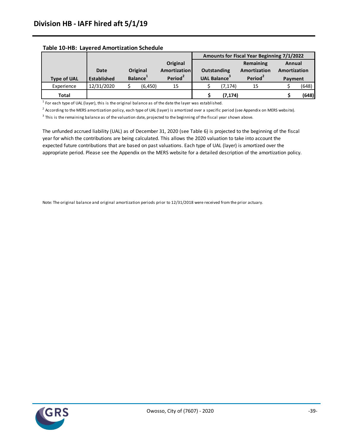|                    |                    |                      |          |                     | Amounts for Fiscal Year Beginning 7/1/2022 |         |                                |              |       |  |  |
|--------------------|--------------------|----------------------|----------|---------------------|--------------------------------------------|---------|--------------------------------|--------------|-------|--|--|
|                    |                    |                      |          | Original            | Remaining                                  |         |                                | Annual       |       |  |  |
|                    | Date               |                      | Original | Amortization        | Outstanding                                |         | Amortization                   | Amortization |       |  |  |
| <b>Type of UAL</b> | <b>Established</b> | Balance <sup>1</sup> |          | Period <sup>2</sup> | UAL Balance <sup>3</sup>                   |         | Period <sup>2</sup><br>Payment |              |       |  |  |
| Experience         | 12/31/2020         |                      | (6, 450) | 15                  |                                            | (7.174) | 15                             |              | (648) |  |  |
| <b>Total</b>       |                    |                      |          |                     |                                            | (7,174) |                                |              | (648) |  |  |

#### **Table 10-HB: Layered Amortization Schedule**

 $<sup>1</sup>$  For each type of UAL (layer), this is the original balance as of the date the layer was established.</sup>

 $^2$  According to the MERS amortization policy, each type of UAL (layer) is amortized over a specific period (see Appendix on MERS website).

 $^3$  This is the remaining balance as of the valuation date, projected to the beginning of the fiscal year shown above.

The unfunded accrued liability (UAL) as of December 31, 2020 (see Table 6) is projected to the beginning of the fiscal appropriate period. Please see the Appendix on the MERS website for a detailed description of the amortization policy. year for which the contributions are being calculated. This allows the 2020 valuation to take into account the expected future contributions that are based on past valuations. Each type of UAL (layer) is amortized over the

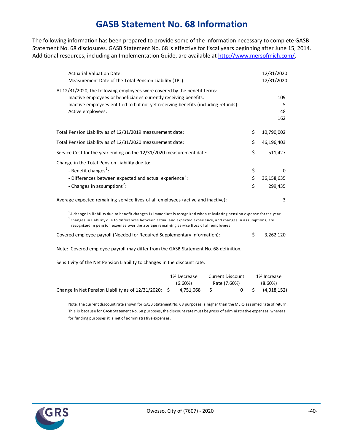# **GASB Statement No. 68 Information**

The following information has been prepared to provide some of the information necessary to complete GASB Statement No. 68 disclosures. GASB Statement No. 68 is effective for fiscal years beginning after June 15, 2014. Additional resources, including an Implementation Guide, are available at [http://www.mersofmich.com/.](http://www.mersofmich.com/)

| <b>Actuarial Valuation Date:</b><br>Measurement Date of the Total Pension Liability (TPL):                                                                                                                                                                                                                                                                     |                | 12/31/2020<br>12/31/2020   |  |
|----------------------------------------------------------------------------------------------------------------------------------------------------------------------------------------------------------------------------------------------------------------------------------------------------------------------------------------------------------------|----------------|----------------------------|--|
| At 12/31/2020, the following employees were covered by the benefit terms:<br>Inactive employees or beneficiaries currently receiving benefits:<br>Inactive employees entitled to but not yet receiving benefits (including refunds):<br>Active employees:                                                                                                      |                | 109<br>5<br>48<br>162      |  |
| Total Pension Liability as of 12/31/2019 measurement date:                                                                                                                                                                                                                                                                                                     | \$             | 10,790,002                 |  |
| Total Pension Liability as of 12/31/2020 measurement date:                                                                                                                                                                                                                                                                                                     | \$             | 46,196,403                 |  |
| Service Cost for the year ending on the 12/31/2020 measurement date:                                                                                                                                                                                                                                                                                           | \$             | 511,427                    |  |
| Change in the Total Pension Liability due to:<br>- Benefit changes <sup>1</sup> :<br>- Differences between expected and actual experience <sup>2</sup> :<br>- Changes in assumptions <sup>2</sup> :                                                                                                                                                            | \$<br>\$<br>\$ | 0<br>36,158,635<br>299,435 |  |
| Average expected remaining service lives of all employees (active and inactive):                                                                                                                                                                                                                                                                               |                | 3                          |  |
| <sup>1</sup> A change in liability due to benefit changes is immediately recognized when calculating pension expense for the year.<br><sup>2</sup> Changes in liability due to differences between actual and expected experience, and changes in assumptions, are<br>recognized in pension expense over the average remaining service lives of all employees. |                |                            |  |
| Covered employee payroll (Needed for Required Supplementary Information):                                                                                                                                                                                                                                                                                      | \$             | 3,262,120                  |  |
| Note: Covered employee payroll may differ from the GASB Statement No. 68 definition.                                                                                                                                                                                                                                                                           |                |                            |  |
| Sensitivity of the Net Pension Liability to changes in the discount rate:                                                                                                                                                                                                                                                                                      |                |                            |  |

|                                                         | 1% Decrease | Current Discount | 1% Increase |
|---------------------------------------------------------|-------------|------------------|-------------|
|                                                         | $(6.60\%)$  | Rate (7.60%)     | $(8.60\%)$  |
| Change in Net Pension Liability as of $12/31/2020$ : \$ | 4.751.068   | 0 S              | (4,018,152) |

Note: The current discount rate shown for GASB Statement No. 68 purposes is higher than the MERS assumed rate of return. This is because for GASB Statement No. 68 purposes, the discount rate must be gross of administrative expenses, whereas for funding purposes it is net of administrative expenses.

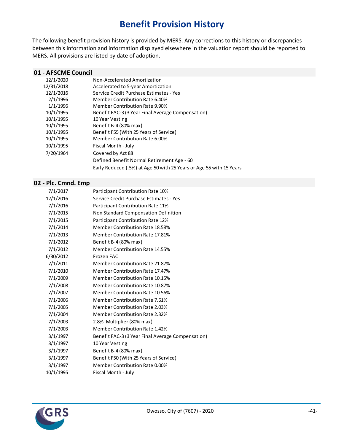# **Benefit Provision History**

The following benefit provision history is provided by MERS. Any corrections to this history or discrepancies between this information and information displayed elsewhere in the valuation report should be reported to MERS. All provisions are listed by date of adoption.

#### **01 - AFSCME Council**

| 12/1/2020  | Non-Accelerated Amortization                                        |
|------------|---------------------------------------------------------------------|
| 12/31/2018 | Accelerated to 5-year Amortization                                  |
| 12/1/2016  | Service Credit Purchase Estimates - Yes                             |
| 2/1/1996   | Member Contribution Rate 6.40%                                      |
| 1/1/1996   | Member Contribution Rate 9.90%                                      |
| 10/1/1995  | Benefit FAC-3 (3 Year Final Average Compensation)                   |
| 10/1/1995  | 10 Year Vesting                                                     |
| 10/1/1995  | Benefit B-4 (80% max)                                               |
| 10/1/1995  | Benefit F55 (With 25 Years of Service)                              |
| 10/1/1995  | Member Contribution Rate 6.00%                                      |
| 10/1/1995  | Fiscal Month - July                                                 |
| 7/20/1964  | Covered by Act 88                                                   |
|            | Defined Benefit Normal Retirement Age - 60                          |
|            | Early Reduced (.5%) at Age 50 with 25 Years or Age 55 with 15 Years |
|            |                                                                     |

#### **02 - Plc. Cmnd. Emp**

| 7/1/2017  | Participant Contribution Rate 10%                 |
|-----------|---------------------------------------------------|
| 12/1/2016 | Service Credit Purchase Estimates - Yes           |
| 7/1/2016  | Participant Contribution Rate 11%                 |
| 7/1/2015  | Non Standard Compensation Definition              |
| 7/1/2015  | Participant Contribution Rate 12%                 |
| 7/1/2014  | Member Contribution Rate 18.58%                   |
| 7/1/2013  | Member Contribution Rate 17.81%                   |
| 7/1/2012  | Benefit B-4 (80% max)                             |
| 7/1/2012  | Member Contribution Rate 14.55%                   |
| 6/30/2012 | Frozen FAC                                        |
| 7/1/2011  | <b>Member Contribution Rate 21,87%</b>            |
| 7/1/2010  | <b>Member Contribution Rate 17.47%</b>            |
| 7/1/2009  | Member Contribution Rate 10.15%                   |
| 7/1/2008  | Member Contribution Rate 10.87%                   |
| 7/1/2007  | Member Contribution Rate 10.56%                   |
| 7/1/2006  | Member Contribution Rate 7.61%                    |
| 7/1/2005  | Member Contribution Rate 2.03%                    |
| 7/1/2004  | <b>Member Contribution Rate 2.32%</b>             |
| 7/1/2003  | 2.8% Multiplier (80% max)                         |
| 7/1/2003  | Member Contribution Rate 1.42%                    |
| 3/1/1997  | Benefit FAC-3 (3 Year Final Average Compensation) |
| 3/1/1997  | 10 Year Vesting                                   |
| 3/1/1997  | Benefit B-4 (80% max)                             |
| 3/1/1997  | Benefit F50 (With 25 Years of Service)            |
| 3/1/1997  | Member Contribution Rate 0.00%                    |
| 10/1/1995 | Fiscal Month - July                               |
|           |                                                   |

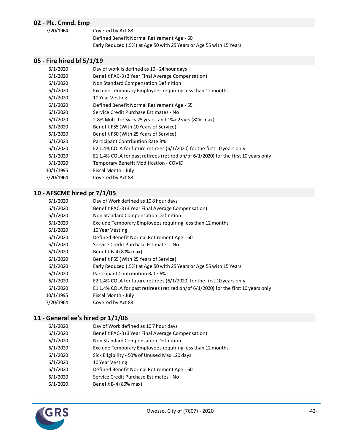### **02 - Plc. Cmnd. Emp**

7/20/1964 Covered by Act 88 Defined Benefit Normal Retirement Age - 60

Early Reduced (.5%) at Age 50 with 25 Years or Age 55 with 15 Years

### **05 - Fire hired bf 5/1/19**

| 6/1/2020  | Day of work is defined as 10 - 24 hour days                                         |
|-----------|-------------------------------------------------------------------------------------|
| 6/1/2020  | Benefit FAC-3 (3 Year Final Average Compensation)                                   |
| 6/1/2020  | Non Standard Compensation Definition                                                |
| 6/1/2020  | Exclude Temporary Employees requiring less than 12 months                           |
| 6/1/2020  | 10 Year Vesting                                                                     |
| 6/1/2020  | Defined Benefit Normal Retirement Age - 55                                          |
| 6/1/2020  | Service Credit Purchase Estimates - No                                              |
| 6/1/2020  | 2.8% Mult. for Svc < 25 years, and 1%> 25 yrs (80% max)                             |
| 6/1/2020  | Benefit F55 (With 10 Years of Service)                                              |
| 6/1/2020  | Benefit F50 (With 25 Years of Service)                                              |
| 6/1/2020  | <b>Participant Contribution Rate 8%</b>                                             |
| 6/1/2020  | E2 1.4% COLA for future retirees ( $6/1/2020$ ) for the first 10 years only         |
| 6/1/2020  | E1 1.4% COLA for past retirees (retired on/bf 6/1/2020) for the first 10 years only |
| 3/1/2020  | Temporary Benefit Modification - COVID                                              |
| 10/1/1995 | Fiscal Month - July                                                                 |
| 7/20/1964 | Covered by Act 88                                                                   |
|           |                                                                                     |

# **10 - AFSCME hired pr 7/1/05**

| 6/1/2020  | Day of Work defined as 108 hour days                                                |
|-----------|-------------------------------------------------------------------------------------|
| 6/1/2020  | Benefit FAC-3 (3 Year Final Average Compensation)                                   |
| 6/1/2020  | Non Standard Compensation Definition                                                |
| 6/1/2020  | Exclude Temporary Employees requiring less than 12 months                           |
| 6/1/2020  | 10 Year Vesting                                                                     |
| 6/1/2020  | Defined Benefit Normal Retirement Age - 60                                          |
| 6/1/2020  | Service Credit Purchase Estimates - No                                              |
| 6/1/2020  | Benefit B-4 (80% max)                                                               |
| 6/1/2020  | Benefit F55 (With 25 Years of Service)                                              |
| 6/1/2020  | Early Reduced (.5%) at Age 50 with 25 Years or Age 55 with 15 Years                 |
| 6/1/2020  | Participant Contribution Rate 6%                                                    |
| 6/1/2020  | E2 1.4% COLA for future retirees ( $6/1/2020$ ) for the first 10 years only         |
| 6/1/2020  | E1 1.4% COLA for past retirees (retired on/bf 6/1/2020) for the first 10 years only |
| 10/1/1995 | Fiscal Month - July                                                                 |
| 7/20/1964 | Covered by Act 88                                                                   |
|           |                                                                                     |

#### **11 - General ee's hired pr 1/1/06**

| 6/1/2020 | Day of Work defined as 107 hour days                      |
|----------|-----------------------------------------------------------|
| 6/1/2020 | Benefit FAC-3 (3 Year Final Average Compensation)         |
| 6/1/2020 | Non Standard Compensation Definition                      |
| 6/1/2020 | Exclude Temporary Employees requiring less than 12 months |
| 6/1/2020 | Sick Eligibility - 50% of Unused Max 120 days             |
| 6/1/2020 | 10 Year Vesting                                           |
| 6/1/2020 | Defined Benefit Normal Retirement Age - 60                |
| 6/1/2020 | Service Credit Purchase Estimates - No                    |
| 6/1/2020 | Benefit B-4 (80% max)                                     |
|          |                                                           |

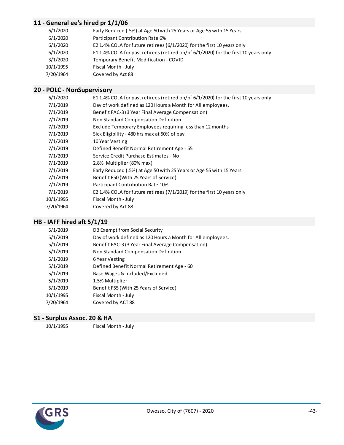### **11 - General ee's hired pr 1/1/06**

| 6/1/2020  | Early Reduced (.5%) at Age 50 with 25 Years or Age 55 with 15 Years                 |
|-----------|-------------------------------------------------------------------------------------|
| 6/1/2020  | Participant Contribution Rate 6%                                                    |
| 6/1/2020  | E2 1.4% COLA for future retirees (6/1/2020) for the first 10 years only             |
| 6/1/2020  | E1 1.4% COLA for past retirees (retired on/bf 6/1/2020) for the first 10 years only |
| 3/1/2020  | Temporary Benefit Modification - COVID                                              |
| 10/1/1995 | Fiscal Month - July                                                                 |
| 7/20/1964 | Covered by Act 88                                                                   |
|           |                                                                                     |

### **20 - POLC - NonSupervisory**

| 6/1/2020  | E1 1.4% COLA for past retirees (retired on/bf 6/1/2020) for the first 10 years only |
|-----------|-------------------------------------------------------------------------------------|
| 7/1/2019  | Day of work defined as 120 Hours a Month for All employees.                         |
| 7/1/2019  | Benefit FAC-3 (3 Year Final Average Compensation)                                   |
| 7/1/2019  | Non Standard Compensation Definition                                                |
| 7/1/2019  | Exclude Temporary Employees requiring less than 12 months                           |
| 7/1/2019  | Sick Eligibility - 480 hrs max at 50% of pay                                        |
| 7/1/2019  | 10 Year Vesting                                                                     |
| 7/1/2019  | Defined Benefit Normal Retirement Age - 55                                          |
| 7/1/2019  | Service Credit Purchase Estimates - No                                              |
| 7/1/2019  | 2.8% Multiplier (80% max)                                                           |
| 7/1/2019  | Early Reduced (.5%) at Age 50 with 25 Years or Age 55 with 15 Years                 |
| 7/1/2019  | Benefit F50 (With 25 Years of Service)                                              |
| 7/1/2019  | Participant Contribution Rate 10%                                                   |
| 7/1/2019  | E2 1.4% COLA for future retirees (7/1/2019) for the first 10 years only             |
| 10/1/1995 | Fiscal Month - July                                                                 |
| 7/20/1964 | Covered by Act 88                                                                   |
|           |                                                                                     |

### **HB - IAFF hired aft 5/1/19**

| 5/1/2019  | DB Exempt from Social Security                              |
|-----------|-------------------------------------------------------------|
| 5/1/2019  | Day of work defined as 120 Hours a Month for All employees. |
| 5/1/2019  | Benefit FAC-3 (3 Year Final Average Compensation)           |
| 5/1/2019  | Non Standard Compensation Definition                        |
| 5/1/2019  | 6 Year Vesting                                              |
| 5/1/2019  | Defined Benefit Normal Retirement Age - 60                  |
| 5/1/2019  | Base Wages & Included/Excluded                              |
| 5/1/2019  | 1.5% Multiplier                                             |
| 5/1/2019  | Benefit F55 (With 25 Years of Service)                      |
| 10/1/1995 | Fiscal Month - July                                         |
| 7/20/1964 | Covered by ACT 88                                           |

# **S1 - Surplus Assoc. 20 & HA**<br>10/1/1995 Fiscal Mo

Fiscal Month - July

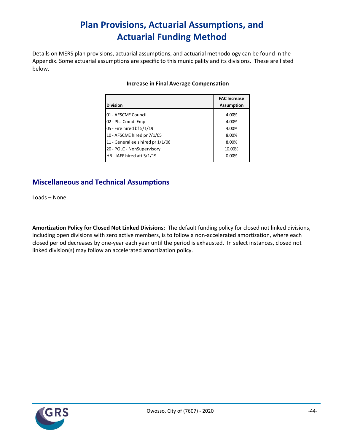# **Plan Provisions, Actuarial Assumptions, and Actuarial Funding Method**

Details on MERS plan provisions, actuarial assumptions, and actuarial methodology can be found in the Appendix. Some actuarial assumptions are specific to this municipality and its divisions. These are listed below.

| <b>Division</b>                   | <b>FAC Increase</b><br><b>Assumption</b> |
|-----------------------------------|------------------------------------------|
| 01 - AFSCME Council               | 4.00%                                    |
| 02 - Plc. Cmnd. Emp               | 4.00%                                    |
| 05 - Fire hired bf 5/1/19         | 4.00%                                    |
| 10 - AFSCME hired pr 7/1/05       | 8.00%                                    |
| 11 - General ee's hired pr 1/1/06 | 8.00%                                    |
| 20 - POLC - NonSupervisory        | 10.00%                                   |
| HB - IAFF hired aft 5/1/19        | $0.00\%$                                 |
|                                   |                                          |

#### **Increase in Final Average Compensation**

## **Miscellaneous and Technical Assumptions**

Loads – None.

**Amortization Policy for Closed Not Linked Divisions:** The default funding policy for closed not linked divisions, including open divisions with zero active members, is to follow a non-accelerated amortization, where each closed period decreases by one-year each year until the period is exhausted. In select instances, closed not linked division(s) may follow an accelerated amortization policy.

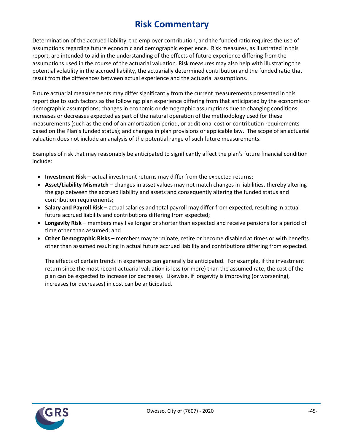# **Risk Commentary**

Determination of the accrued liability, the employer contribution, and the funded ratio requires the use of assumptions regarding future economic and demographic experience. Risk measures, as illustrated in this report, are intended to aid in the understanding of the effects of future experience differing from the assumptions used in the course of the actuarial valuation. Risk measures may also help with illustrating the potential volatility in the accrued liability, the actuarially determined contribution and the funded ratio that result from the differences between actual experience and the actuarial assumptions.

Future actuarial measurements may differ significantly from the current measurements presented in this report due to such factors as the following: plan experience differing from that anticipated by the economic or demographic assumptions; changes in economic or demographic assumptions due to changing conditions; increases or decreases expected as part of the natural operation of the methodology used for these measurements (such as the end of an amortization period, or additional cost or contribution requirements based on the Plan's funded status); and changes in plan provisions or applicable law. The scope of an actuarial valuation does not include an analysis of the potential range of such future measurements.

Examples of risk that may reasonably be anticipated to significantly affect the plan's future financial condition include:

- **Investment Risk** actual investment returns may differ from the expected returns;
- **Asset/Liability Mismatch** changes in asset values may not match changes in liabilities, thereby altering the gap between the accrued liability and assets and consequently altering the funded status and contribution requirements;
- **Salary and Payroll Risk** actual salaries and total payroll may differ from expected, resulting in actual future accrued liability and contributions differing from expected;
- **Longevity Risk** members may live longer or shorter than expected and receive pensions for a period of time other than assumed; and
- **Other Demographic Risks –** members may terminate, retire or become disabled at times or with benefits other than assumed resulting in actual future accrued liability and contributions differing from expected.

The effects of certain trends in experience can generally be anticipated. For example, if the investment return since the most recent actuarial valuation is less (or more) than the assumed rate, the cost of the plan can be expected to increase (or decrease). Likewise, if longevity is improving (or worsening), increases (or decreases) in cost can be anticipated.

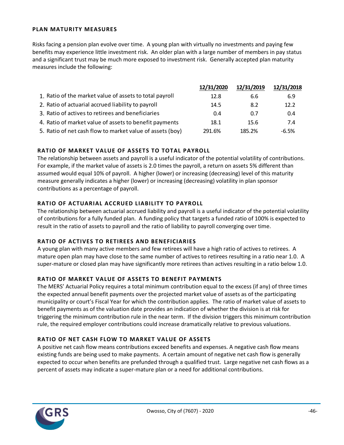#### **PLAN MATURITY MEASURES**

Risks facing a pension plan evolve over time. A young plan with virtually no investments and paying few benefits may experience little investment risk. An older plan with a large number of members in pay status and a significant trust may be much more exposed to investment risk. Generally accepted plan maturity measures include the following:

|                                                           | 12/31/2020 | 12/31/2019 | 12/31/2018 |
|-----------------------------------------------------------|------------|------------|------------|
| 1. Ratio of the market value of assets to total payroll   | 12.8       | 6.6        | 6.9        |
| 2. Ratio of actuarial accrued liability to payroll        | 14.5       | 8.2        | 12.2       |
| 3. Ratio of actives to retirees and beneficiaries         | 0.4        | 0.7        | 0.4        |
| 4. Ratio of market value of assets to benefit payments    | 18.1       | 15.6       | 7.4        |
| 5. Ratio of net cash flow to market value of assets (boy) | 291.6%     | 185.2%     | $-6.5%$    |

#### **RATIO OF MARKET VALUE OF ASSETS TO TOTAL PAYROLL**

The relationship between assets and payroll is a useful indicator of the potential volatility of contributions. For example, if the market value of assets is 2.0 times the payroll, a return on assets 5% different than assumed would equal 10% of payroll. A higher (lower) or increasing (decreasing) level of this maturity measure generally indicates a higher (lower) or increasing (decreasing) volatility in plan sponsor contributions as a percentage of payroll.

#### **RATIO OF ACTUARIAL ACCRUED LIABILITY TO PAYROLL**

The relationship between actuarial accrued liability and payroll is a useful indicator of the potential volatility of contributions for a fully funded plan. A funding policy that targets a funded ratio of 100% is expected to result in the ratio of assets to payroll and the ratio of liability to payroll converging over time.

#### **RATIO OF ACTIVES TO RETIREES AND BENEFICIARIES**

A young plan with many active members and few retirees will have a high ratio of actives to retirees. A mature open plan may have close to the same number of actives to retirees resulting in a ratio near 1.0. A super-mature or closed plan may have significantly more retirees than actives resulting in a ratio below 1.0.

#### **RATIO OF MARKET VALUE OF ASSETS TO BENEFIT PAYMENTS**

The MERS' Actuarial Policy requires a total minimum contribution equal to the excess (if any) of three times the expected annual benefit payments over the projected market value of assets as of the participating municipality or court's Fiscal Year for which the contribution applies. The ratio of market value of assets to benefit payments as of the valuation date provides an indication of whether the division is at risk for triggering the minimum contribution rule in the near term. If the division triggers this minimum contribution rule, the required employer contributions could increase dramatically relative to previous valuations.

#### **RATIO OF NET CASH FLOW TO MARKET VALUE OF ASSETS**

A positive net cash flow means contributions exceed benefits and expenses. A negative cash flow means existing funds are being used to make payments. A certain amount of negative net cash flow is generally expected to occur when benefits are prefunded through a qualified trust. Large negative net cash flows as a percent of assets may indicate a super-mature plan or a need for additional contributions.